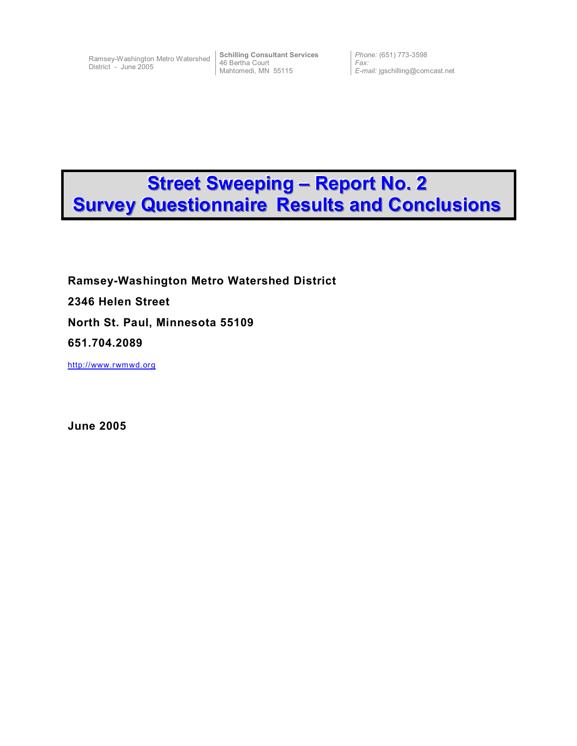District - June 2005

Ramsey-Washington Metro Watershed **Schilling Consultant Services** 46 Bertha Court Mahtomedi, MN 55115 *Phone:* (651) 773-3598 *Fax: E-mail:* jgschilling@comcast.net

# **Street Sweeping – Report No. 2 Survey Questionnaire Results and Conclusions**

**Ramsey-Washington Metro Watershed District 2346 Helen Street North St. Paul, Minnesota 55109 651.704.2089**  http://www.rwmwd.org

**June 2005**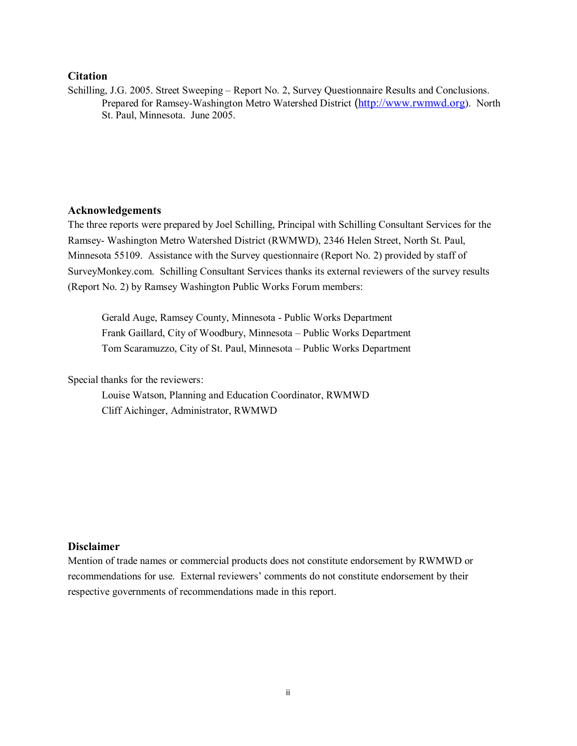#### **Citation**

Schilling, J.G. 2005. Street Sweeping – Report No. 2, Survey Questionnaire Results and Conclusions. Prepared for Ramsey-Washington Metro Watershed District (http://www.rwmwd.org). North St. Paul, Minnesota. June 2005.

#### **Acknowledgements**

The three reports were prepared by Joel Schilling, Principal with Schilling Consultant Services for the Ramsey- Washington Metro Watershed District (RWMWD), 2346 Helen Street, North St. Paul, Minnesota 55109. Assistance with the Survey questionnaire (Report No. 2) provided by staff of SurveyMonkey.com. Schilling Consultant Services thanks its external reviewers of the survey results (Report No. 2) by Ramsey Washington Public Works Forum members:

 Gerald Auge, Ramsey County, Minnesota - Public Works Department Frank Gaillard, City of Woodbury, Minnesota – Public Works Department Tom Scaramuzzo, City of St. Paul, Minnesota – Public Works Department

Special thanks for the reviewers:

 Louise Watson, Planning and Education Coordinator, RWMWD Cliff Aichinger, Administrator, RWMWD

# **Disclaimer**

Mention of trade names or commercial products does not constitute endorsement by RWMWD or recommendations for use. External reviewers' comments do not constitute endorsement by their respective governments of recommendations made in this report.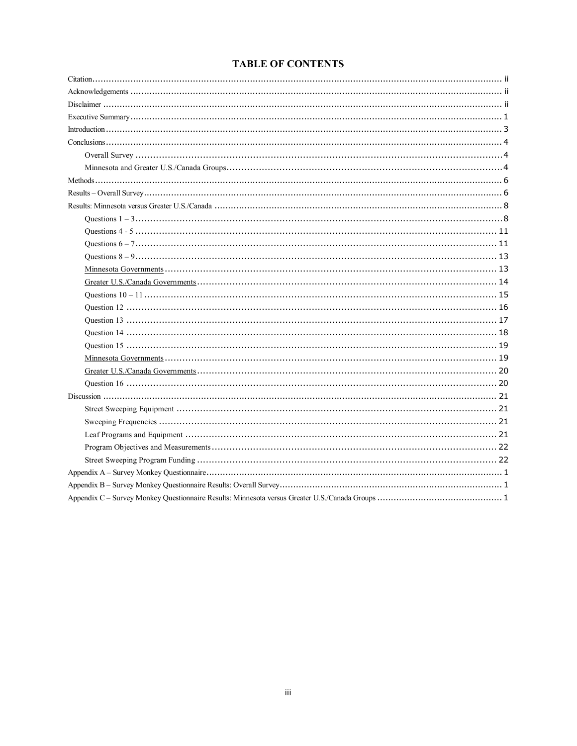# **TABLE OF CONTENTS**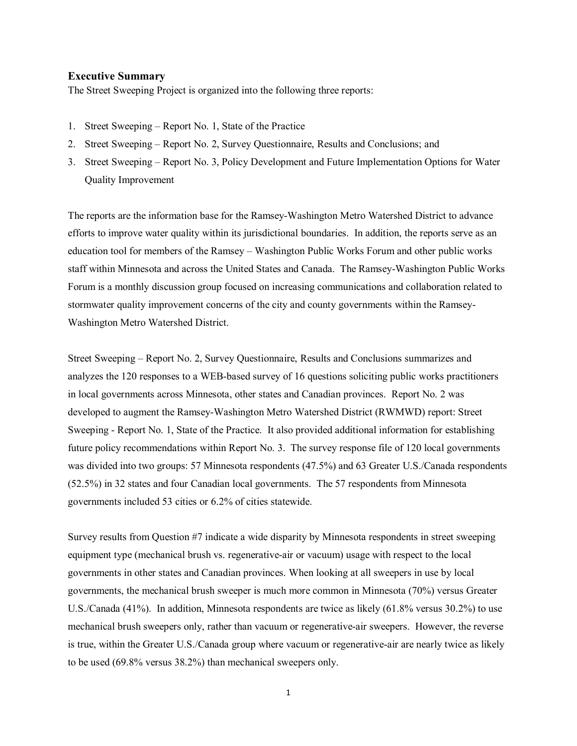#### **Executive Summary**

The Street Sweeping Project is organized into the following three reports:

- 1. Street Sweeping Report No. 1, State of the Practice
- 2. Street Sweeping Report No. 2, Survey Questionnaire, Results and Conclusions; and
- 3. Street Sweeping Report No. 3, Policy Development and Future Implementation Options for Water Quality Improvement

The reports are the information base for the Ramsey-Washington Metro Watershed District to advance efforts to improve water quality within its jurisdictional boundaries. In addition, the reports serve as an education tool for members of the Ramsey – Washington Public Works Forum and other public works staff within Minnesota and across the United States and Canada. The Ramsey-Washington Public Works Forum is a monthly discussion group focused on increasing communications and collaboration related to stormwater quality improvement concerns of the city and county governments within the Ramsey-Washington Metro Watershed District.

Street Sweeping – Report No. 2, Survey Questionnaire, Results and Conclusions summarizes and analyzes the 120 responses to a WEB-based survey of 16 questions soliciting public works practitioners in local governments across Minnesota, other states and Canadian provinces. Report No. 2 was developed to augment the Ramsey-Washington Metro Watershed District (RWMWD) report: Street Sweeping - Report No. 1, State of the Practice. It also provided additional information for establishing future policy recommendations within Report No. 3. The survey response file of 120 local governments was divided into two groups: 57 Minnesota respondents (47.5%) and 63 Greater U.S./Canada respondents (52.5%) in 32 states and four Canadian local governments. The 57 respondents from Minnesota governments included 53 cities or 6.2% of cities statewide.

Survey results from Question #7 indicate a wide disparity by Minnesota respondents in street sweeping equipment type (mechanical brush vs. regenerative-air or vacuum) usage with respect to the local governments in other states and Canadian provinces. When looking at all sweepers in use by local governments, the mechanical brush sweeper is much more common in Minnesota (70%) versus Greater U.S./Canada (41%). In addition, Minnesota respondents are twice as likely (61.8% versus 30.2%) to use mechanical brush sweepers only, rather than vacuum or regenerative-air sweepers. However, the reverse is true, within the Greater U.S./Canada group where vacuum or regenerative-air are nearly twice as likely to be used (69.8% versus 38.2%) than mechanical sweepers only.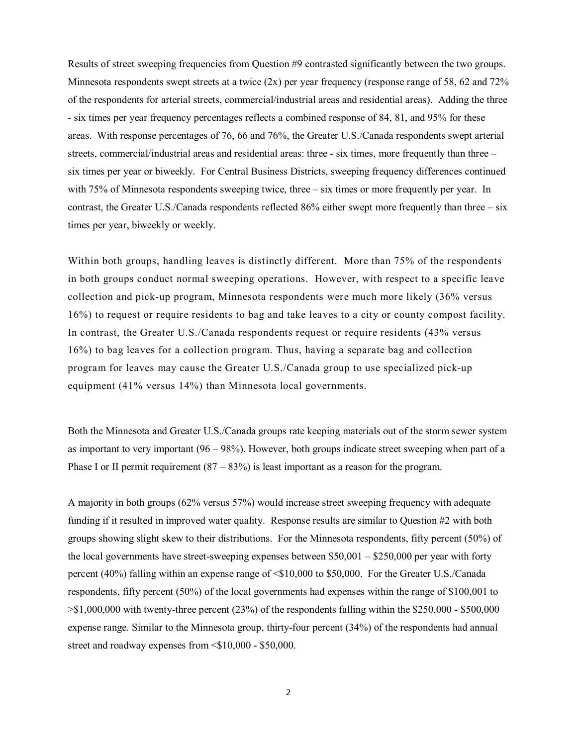Results of street sweeping frequencies from Question #9 contrasted significantly between the two groups. Minnesota respondents swept streets at a twice  $(2x)$  per year frequency (response range of 58, 62 and 72%) of the respondents for arterial streets, commercial/industrial areas and residential areas). Adding the three - six times per year frequency percentages reflects a combined response of 84, 81, and 95% for these areas. With response percentages of 76, 66 and 76%, the Greater U.S./Canada respondents swept arterial streets, commercial/industrial areas and residential areas: three - six times, more frequently than three – six times per year or biweekly. For Central Business Districts, sweeping frequency differences continued with 75% of Minnesota respondents sweeping twice, three – six times or more frequently per year. In contrast, the Greater U.S./Canada respondents reflected 86% either swept more frequently than three – six times per year, biweekly or weekly.

Within both groups, handling leaves is distinctly different. More than 75% of the respondents in both groups conduct normal sweeping operations. However, with respect to a specific leave collection and pick-up program, Minnesota respondents were much more likely (36% versus 16%) to request or require residents to bag and take leaves to a city or county compost facility. In contrast, the Greater U.S./Canada respondents request or require residents (43% versus 16%) to bag leaves for a collection program. Thus, having a separate bag and collection program for leaves may cause the Greater U.S./Canada group to use specialized pick-up equipment (41% versus 14%) than Minnesota local governments.

Both the Minnesota and Greater U.S./Canada groups rate keeping materials out of the storm sewer system as important to very important (96 – 98%). However, both groups indicate street sweeping when part of a Phase I or II permit requirement  $(87 - 83%)$  is least important as a reason for the program.

A majority in both groups (62% versus 57%) would increase street sweeping frequency with adequate funding if it resulted in improved water quality. Response results are similar to Question #2 with both groups showing slight skew to their distributions. For the Minnesota respondents, fifty percent (50%) of the local governments have street-sweeping expenses between \$50,001 – \$250,000 per year with forty percent (40%) falling within an expense range of <\$10,000 to \$50,000. For the Greater U.S./Canada respondents, fifty percent (50%) of the local governments had expenses within the range of \$100,001 to  $\geq$ \$1,000,000 with twenty-three percent (23%) of the respondents falling within the \$250,000 - \$500,000 expense range. Similar to the Minnesota group, thirty-four percent (34%) of the respondents had annual street and roadway expenses from <\$10,000 - \$50,000.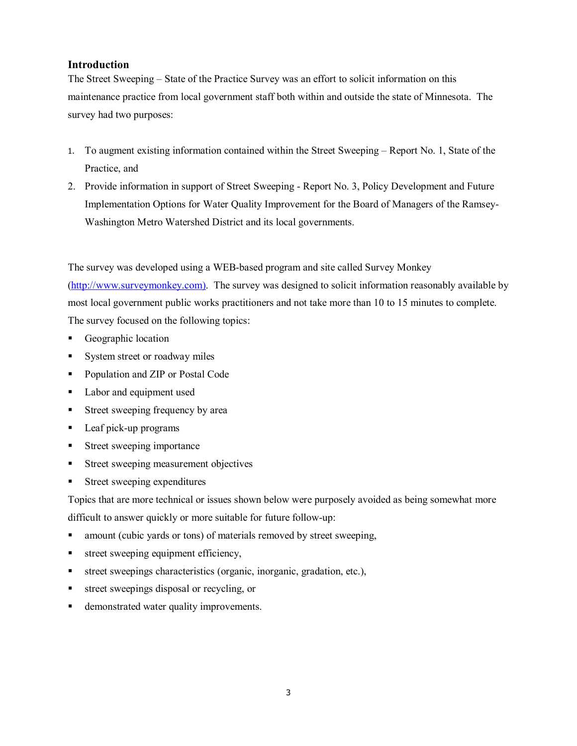# **Introduction**

The Street Sweeping – State of the Practice Survey was an effort to solicit information on this maintenance practice from local government staff both within and outside the state of Minnesota. The survey had two purposes:

- 1. To augment existing information contained within the Street Sweeping Report No. 1, State of the Practice, and
- 2. Provide information in support of Street Sweeping Report No. 3, Policy Development and Future Implementation Options for Water Quality Improvement for the Board of Managers of the Ramsey-Washington Metro Watershed District and its local governments.

The survey was developed using a WEB-based program and site called Survey Monkey

(http://www.surveymonkey.com). The survey was designed to solicit information reasonably available by most local government public works practitioners and not take more than 10 to 15 minutes to complete. The survey focused on the following topics:

- Geographic location
- System street or roadway miles
- **•** Population and ZIP or Postal Code
- Labor and equipment used
- **Street sweeping frequency by area**
- **Leaf pick-up programs**
- **Street sweeping importance**
- **Street sweeping measurement objectives**
- **Street sweeping expenditures**

Topics that are more technical or issues shown below were purposely avoided as being somewhat more difficult to answer quickly or more suitable for future follow-up:

- amount (cubic yards or tons) of materials removed by street sweeping,
- **street sweeping equipment efficiency,**
- street sweepings characteristics (organic, inorganic, gradation, etc.),
- street sweepings disposal or recycling, or
- demonstrated water quality improvements.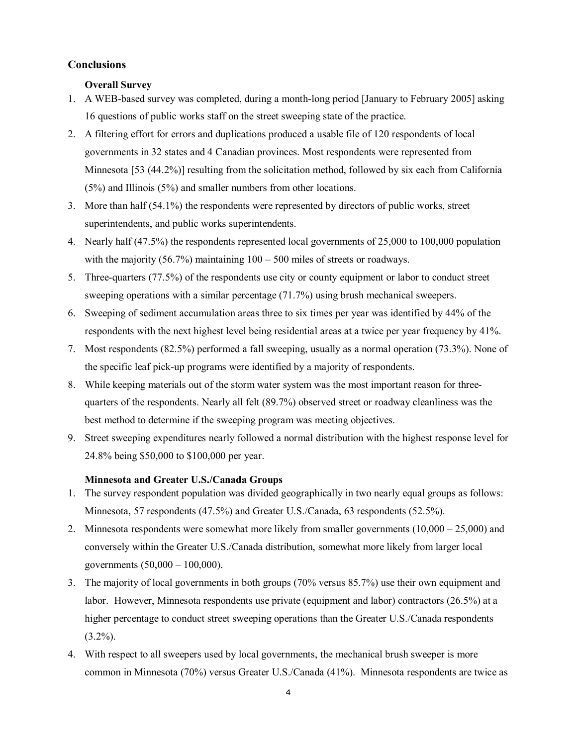## **Conclusions**

### **Overall Survey**

- 1. A WEB-based survey was completed, during a month-long period [January to February 2005] asking 16 questions of public works staff on the street sweeping state of the practice.
- 2. A filtering effort for errors and duplications produced a usable file of 120 respondents of local governments in 32 states and 4 Canadian provinces. Most respondents were represented from Minnesota [53 (44.2%)] resulting from the solicitation method, followed by six each from California (5%) and Illinois (5%) and smaller numbers from other locations.
- 3. More than half (54.1%) the respondents were represented by directors of public works, street superintendents, and public works superintendents.
- 4. Nearly half (47.5%) the respondents represented local governments of 25,000 to 100,000 population with the majority (56.7%) maintaining  $100 - 500$  miles of streets or roadways.
- 5. Three-quarters (77.5%) of the respondents use city or county equipment or labor to conduct street sweeping operations with a similar percentage (71.7%) using brush mechanical sweepers.
- 6. Sweeping of sediment accumulation areas three to six times per year was identified by 44% of the respondents with the next highest level being residential areas at a twice per year frequency by 41%.
- 7. Most respondents (82.5%) performed a fall sweeping, usually as a normal operation (73.3%). None of the specific leaf pick-up programs were identified by a majority of respondents.
- 8. While keeping materials out of the storm water system was the most important reason for threequarters of the respondents. Nearly all felt (89.7%) observed street or roadway cleanliness was the best method to determine if the sweeping program was meeting objectives.
- 9. Street sweeping expenditures nearly followed a normal distribution with the highest response level for 24.8% being \$50,000 to \$100,000 per year.

### **Minnesota and Greater U.S./Canada Groups**

- 1. The survey respondent population was divided geographically in two nearly equal groups as follows: Minnesota, 57 respondents (47.5%) and Greater U.S./Canada, 63 respondents (52.5%).
- 2. Minnesota respondents were somewhat more likely from smaller governments (10,000 25,000) and conversely within the Greater U.S./Canada distribution, somewhat more likely from larger local governments (50,000 – 100,000).
- 3. The majority of local governments in both groups (70% versus 85.7%) use their own equipment and labor. However, Minnesota respondents use private (equipment and labor) contractors (26.5%) at a higher percentage to conduct street sweeping operations than the Greater U.S./Canada respondents  $(3.2\%)$ .
- 4. With respect to all sweepers used by local governments, the mechanical brush sweeper is more common in Minnesota (70%) versus Greater U.S./Canada (41%). Minnesota respondents are twice as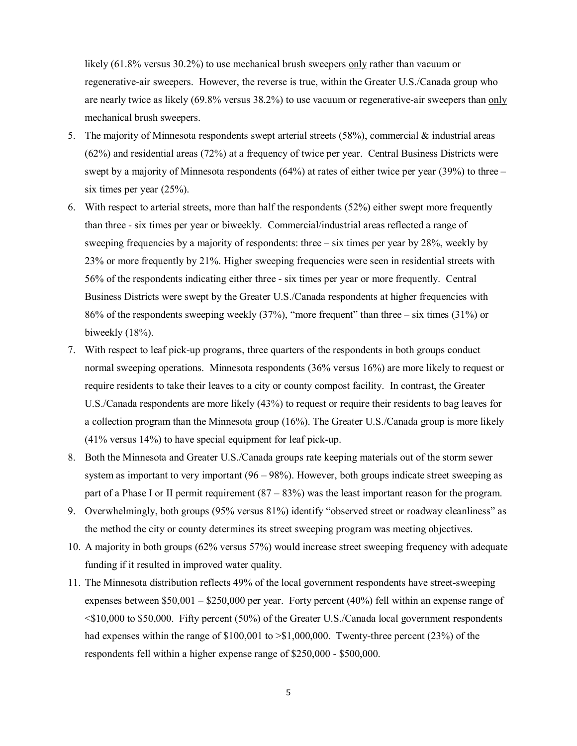likely  $(61.8\%$  versus 30.2%) to use mechanical brush sweepers only rather than vacuum or regenerative-air sweepers. However, the reverse is true, within the Greater U.S./Canada group who are nearly twice as likely (69.8% versus 38.2%) to use vacuum or regenerative-air sweepers than only mechanical brush sweepers.

- 5. The majority of Minnesota respondents swept arterial streets (58%), commercial & industrial areas (62%) and residential areas (72%) at a frequency of twice per year. Central Business Districts were swept by a majority of Minnesota respondents  $(64%)$  at rates of either twice per year  $(39%)$  to three – six times per year (25%).
- 6. With respect to arterial streets, more than half the respondents (52%) either swept more frequently than three - six times per year or biweekly. Commercial/industrial areas reflected a range of sweeping frequencies by a majority of respondents: three – six times per year by 28%, weekly by 23% or more frequently by 21%. Higher sweeping frequencies were seen in residential streets with 56% of the respondents indicating either three - six times per year or more frequently. Central Business Districts were swept by the Greater U.S./Canada respondents at higher frequencies with 86% of the respondents sweeping weekly (37%), "more frequent" than three – six times (31%) or biweekly (18%).
- 7. With respect to leaf pick-up programs, three quarters of the respondents in both groups conduct normal sweeping operations. Minnesota respondents (36% versus 16%) are more likely to request or require residents to take their leaves to a city or county compost facility. In contrast, the Greater U.S./Canada respondents are more likely (43%) to request or require their residents to bag leaves for a collection program than the Minnesota group (16%). The Greater U.S./Canada group is more likely (41% versus 14%) to have special equipment for leaf pick-up.
- 8. Both the Minnesota and Greater U.S./Canada groups rate keeping materials out of the storm sewer system as important to very important  $(96 - 98%)$ . However, both groups indicate street sweeping as part of a Phase I or II permit requirement (87 – 83%) was the least important reason for the program.
- 9. Overwhelmingly, both groups (95% versus 81%) identify "observed street or roadway cleanliness" as the method the city or county determines its street sweeping program was meeting objectives.
- 10. A majority in both groups (62% versus 57%) would increase street sweeping frequency with adequate funding if it resulted in improved water quality.
- 11. The Minnesota distribution reflects 49% of the local government respondents have street-sweeping expenses between \$50,001 – \$250,000 per year. Forty percent (40%) fell within an expense range of <\$10,000 to \$50,000. Fifty percent (50%) of the Greater U.S./Canada local government respondents had expenses within the range of  $$100,001$  to  $$1,000,000$ . Twenty-three percent (23%) of the respondents fell within a higher expense range of \$250,000 - \$500,000.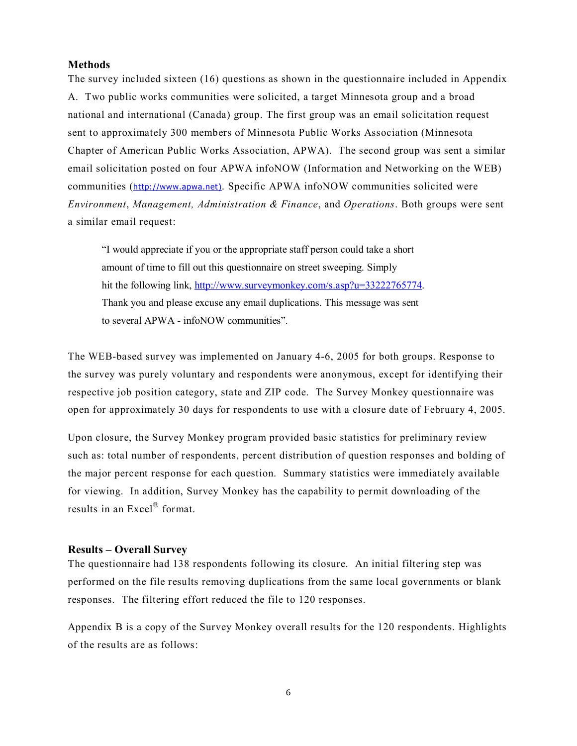### **Methods**

The survey included sixteen (16) questions as shown in the questionnaire included in Appendix A. Two public works communities were solicited, a target Minnesota group and a broad national and international (Canada) group. The first group was an email solicitation request sent to approximately 300 members of Minnesota Public Works Association (Minnesota Chapter of American Public Works Association, APWA). The second group was sent a similar email solicitation posted on four APWA infoNOW (Information and Networking on the WEB) communities (http://www.apwa.net). Specific APWA infoNOW communities solicited were *Environment*, *Management, Administration & Finance*, and *Operations*. Both groups were sent a similar email request:

"I would appreciate if you or the appropriate staff person could take a short amount of time to fill out this questionnaire on street sweeping. Simply hit the following link, http://www.surveymonkey.com/s.asp?u=33222765774. Thank you and please excuse any email duplications. This message was sent to several APWA - infoNOW communities".

The WEB-based survey was implemented on January 4-6, 2005 for both groups. Response to the survey was purely voluntary and respondents were anonymous, except for identifying their respective job position category, state and ZIP code. The Survey Monkey questionnaire was open for approximately 30 days for respondents to use with a closure date of February 4, 2005.

Upon closure, the Survey Monkey program provided basic statistics for preliminary review such as: total number of respondents, percent distribution of question responses and bolding of the major percent response for each question. Summary statistics were immediately available for viewing. In addition, Survey Monkey has the capability to permit downloading of the results in an Excel® format.

### **Results – Overall Survey**

The questionnaire had 138 respondents following its closure. An initial filtering step was performed on the file results removing duplications from the same local governments or blank responses. The filtering effort reduced the file to 120 responses.

Appendix B is a copy of the Survey Monkey overall results for the 120 respondents. Highlights of the results are as follows:

6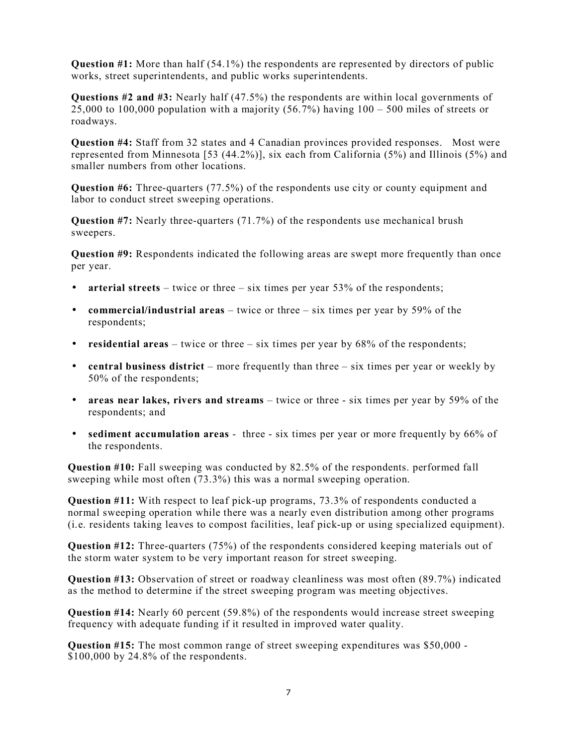**Question #1:** More than half (54.1%) the respondents are represented by directors of public works, street superintendents, and public works superintendents.

**Questions #2 and #3:** Nearly half (47.5%) the respondents are within local governments of 25,000 to 100,000 population with a majority  $(56.7%)$  having  $100 - 500$  miles of streets or roadways.

**Question #4:** Staff from 32 states and 4 Canadian provinces provided responses. Most were represented from Minnesota [53 (44.2%)], six each from California (5%) and Illinois (5%) and smaller numbers from other locations.

**Question #6:** Three-quarters (77.5%) of the respondents use city or county equipment and labor to conduct street sweeping operations.

**Question #7:** Nearly three-quarters (71.7%) of the respondents use mechanical brush sweepers.

**Question #9:** Respondents indicated the following areas are swept more frequently than once per year.

- **arterial streets** twice or three six times per year 53% of the respondents;
- **commercial/industrial areas** twice or three six times per year by 59% of the respondents;
- **residential areas** twice or three six times per year by 68% of the respondents;
- **central business district** more frequently than three six times per year or weekly by 50% of the respondents;
- **areas near lakes, rivers and streams** twice or three six times per year by 59% of the respondents; and
- **sediment accumulation areas** three six times per year or more frequently by 66% of the respondents.

**Question #10:** Fall sweeping was conducted by 82.5% of the respondents. performed fall sweeping while most often (73.3%) this was a normal sweeping operation.

**Question #11:** With respect to leaf pick-up programs, 73.3% of respondents conducted a normal sweeping operation while there was a nearly even distribution among other programs (i.e. residents taking leaves to compost facilities, leaf pick-up or using specialized equipment).

**Question #12:** Three-quarters (75%) of the respondents considered keeping materials out of the storm water system to be very important reason for street sweeping.

**Question #13:** Observation of street or roadway cleanliness was most often (89.7%) indicated as the method to determine if the street sweeping program was meeting objectives.

**Question #14:** Nearly 60 percent (59.8%) of the respondents would increase street sweeping frequency with adequate funding if it resulted in improved water quality.

**Question #15:** The most common range of street sweeping expenditures was \$50,000 - \$100,000 by 24.8% of the respondents.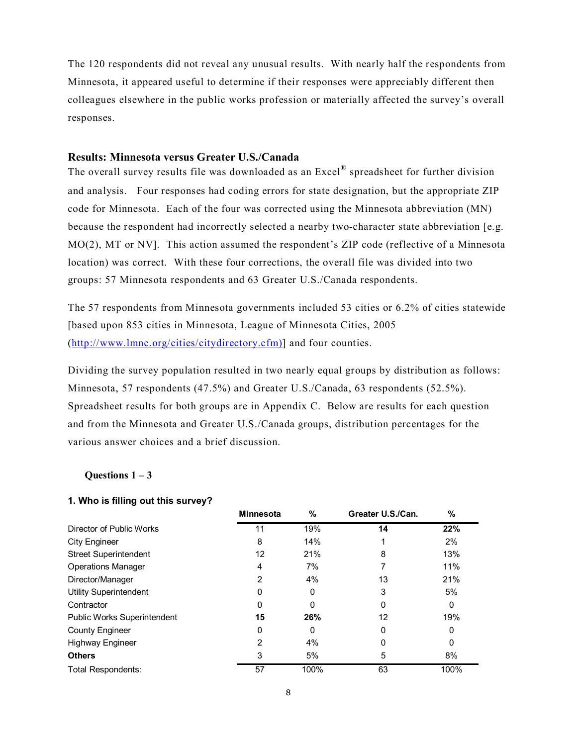The 120 respondents did not reveal any unusual results. With nearly half the respondents from Minnesota, it appeared useful to determine if their responses were appreciably different then colleagues elsewhere in the public works profession or materially affected the survey's overall responses.

#### **Results: Minnesota versus Greater U.S./Canada**

The overall survey results file was downloaded as an Excel<sup>®</sup> spreadsheet for further division and analysis. Four responses had coding errors for state designation, but the appropriate ZIP code for Minnesota. Each of the four was corrected using the Minnesota abbreviation (MN) because the respondent had incorrectly selected a nearby two-character state abbreviation [e.g. MO(2), MT or NV]. This action assumed the respondent's ZIP code (reflective of a Minnesota location) was correct. With these four corrections, the overall file was divided into two groups: 57 Minnesota respondents and 63 Greater U.S./Canada respondents.

The 57 respondents from Minnesota governments included 53 cities or 6.2% of cities statewide [based upon 853 cities in Minnesota, League of Minnesota Cities, 2005 (http://www.lmnc.org/cities/citydirectory.cfm)] and four counties.

Dividing the survey population resulted in two nearly equal groups by distribution as follows: Minnesota, 57 respondents (47.5%) and Greater U.S./Canada, 63 respondents (52.5%). Spreadsheet results for both groups are in Appendix C. Below are results for each question and from the Minnesota and Greater U.S./Canada groups, distribution percentages for the various answer choices and a brief discussion.

#### **Questions**  $1 - 3$

#### **1. Who is filling out this survey?**

|                                    | <b>Minnesota</b> | $\%$ | Greater U.S./Can. | $\%$ |
|------------------------------------|------------------|------|-------------------|------|
| Director of Public Works           | 11               | 19%  | 14                | 22%  |
| <b>City Engineer</b>               | 8                | 14%  |                   | 2%   |
| <b>Street Superintendent</b>       | 12               | 21%  | 8                 | 13%  |
| <b>Operations Manager</b>          | 4                | 7%   |                   | 11%  |
| Director/Manager                   | 2                | 4%   | 13                | 21%  |
| <b>Utility Superintendent</b>      | 0                | 0    | 3                 | 5%   |
| Contractor                         | 0                | 0    | 0                 | 0    |
| <b>Public Works Superintendent</b> | 15               | 26%  | 12                | 19%  |
| <b>County Engineer</b>             | 0                | 0    | 0                 | 0    |
| <b>Highway Engineer</b>            | 2                | 4%   |                   | 0    |
| <b>Others</b>                      | 3                | 5%   | 5                 | 8%   |
| <b>Total Respondents:</b>          | 57               | 100% | 63                | 100% |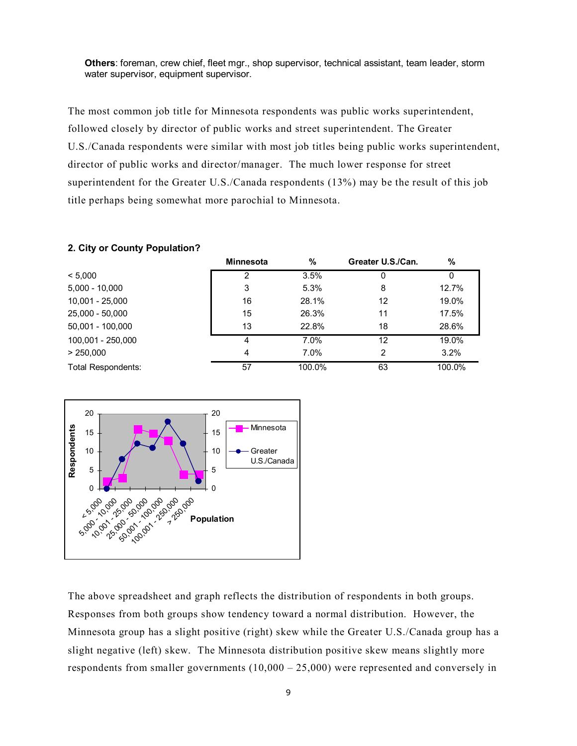**Others**: foreman, crew chief, fleet mgr., shop supervisor, technical assistant, team leader, storm water supervisor, equipment supervisor.

The most common job title for Minnesota respondents was public works superintendent, followed closely by director of public works and street superintendent. The Greater U.S./Canada respondents were similar with most job titles being public works superintendent, director of public works and director/manager. The much lower response for street superintendent for the Greater U.S./Canada respondents (13%) may be the result of this job title perhaps being somewhat more parochial to Minnesota.

#### **2. City or County Population?**

|                    | Minnesota | %      | Greater U.S./Can. | %      |  |
|--------------------|-----------|--------|-------------------|--------|--|
| < 5.000            | 2         | 3.5%   | 0                 | 0      |  |
| $5,000 - 10,000$   | 3         | 5.3%   | 8                 | 12.7%  |  |
| 10,001 - 25,000    | 16        | 28.1%  | 12                | 19.0%  |  |
| 25,000 - 50,000    | 15        | 26.3%  | 11                | 17.5%  |  |
| 50,001 - 100,000   | 13        | 22.8%  | 18                | 28.6%  |  |
| 100,001 - 250,000  | 4         | 7.0%   | 12                | 19.0%  |  |
| > 250,000          | 4         | 7.0%   | 2                 | 3.2%   |  |
| Total Respondents: | 57        | 100.0% | 63                | 100.0% |  |



The above spreadsheet and graph reflects the distribution of respondents in both groups. Responses from both groups show tendency toward a normal distribution. However, the Minnesota group has a slight positive (right) skew while the Greater U.S./Canada group has a slight negative (left) skew. The Minnesota distribution positive skew means slightly more respondents from smaller governments (10,000 – 25,000) were represented and conversely in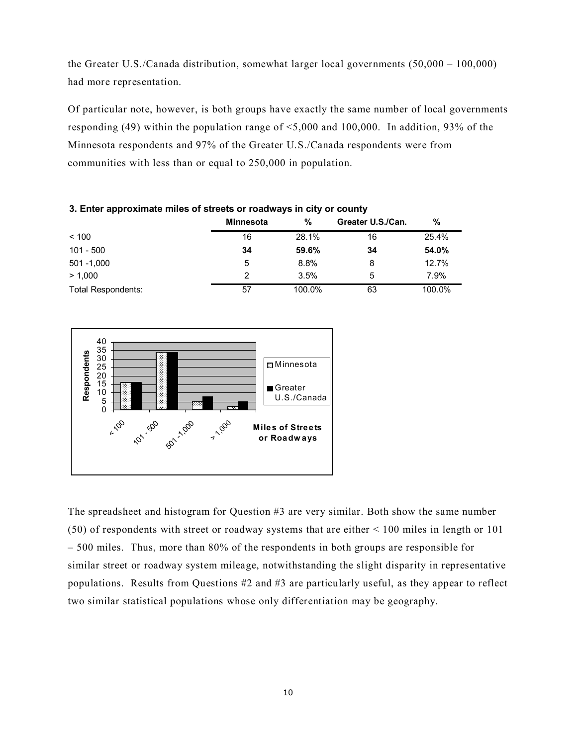the Greater U.S./Canada distribution, somewhat larger local governments (50,000 – 100,000) had more representation.

Of particular note, however, is both groups have exactly the same number of local governments responding (49) within the population range of <5,000 and 100,000. In addition, 93% of the Minnesota respondents and 97% of the Greater U.S./Canada respondents were from communities with less than or equal to 250,000 in population.

|                           | <b>Minnesota</b> | %      | Greater U.S./Can. | %      |  |
|---------------------------|------------------|--------|-------------------|--------|--|
| < 100                     | 16               | 28.1%  | 16                | 25.4%  |  |
| 101 - 500                 | 34               | 59.6%  | 34                | 54.0%  |  |
| $501 - 1,000$             | 5                | 8.8%   | 8                 | 12.7%  |  |
| > 1.000                   | 2                | 3.5%   | 5                 | 7.9%   |  |
| <b>Total Respondents:</b> | 57               | 100.0% | 63                | 100.0% |  |

#### **3. Enter approximate miles of streets or roadways in city or county**



The spreadsheet and histogram for Question #3 are very similar. Both show the same number (50) of respondents with street or roadway systems that are either < 100 miles in length or 101 – 500 miles. Thus, more than 80% of the respondents in both groups are responsible for similar street or roadway system mileage, notwithstanding the slight disparity in representative populations. Results from Questions #2 and #3 are particularly useful, as they appear to reflect two similar statistical populations whose only differentiation may be geography.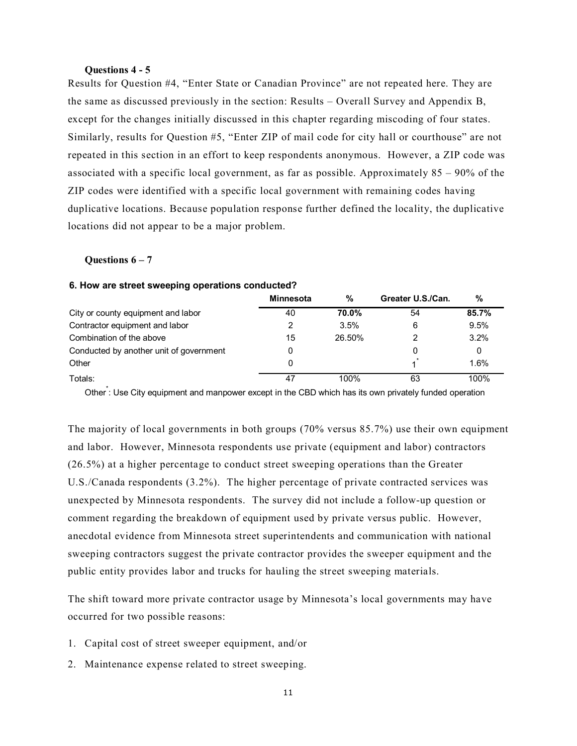#### **Questions 4 - 5**

Results for Question #4, "Enter State or Canadian Province" are not repeated here. They are the same as discussed previously in the section: Results – Overall Survey and Appendix B, except for the changes initially discussed in this chapter regarding miscoding of four states. Similarly, results for Question #5, "Enter ZIP of mail code for city hall or courthouse" are not repeated in this section in an effort to keep respondents anonymous. However, a ZIP code was associated with a specific local government, as far as possible. Approximately 85 – 90% of the ZIP codes were identified with a specific local government with remaining codes having duplicative locations. Because population response further defined the locality, the duplicative locations did not appear to be a major problem.

#### **Questions 6 – 7**

|                                         | Minnesota | %      | Greater U.S./Can. | %     |
|-----------------------------------------|-----------|--------|-------------------|-------|
| City or county equipment and labor      | 40        | 70.0%  | 54                | 85.7% |
| Contractor equipment and labor          | 2         | 3.5%   | 6                 | 9.5%  |
| Combination of the above                | 15        | 26.50% | 2                 | 3.2%  |
| Conducted by another unit of government | 0         |        |                   |       |
| Other                                   | 0         |        |                   | 1.6%  |
| Totals:                                 | 47        | 100%   | 63                | 100%  |

#### **6. How are street sweeping operations conducted?**

Other<sup>\*</sup>: Use City equipment and manpower except in the CBD which has its own privately funded operation

The majority of local governments in both groups (70% versus 85.7%) use their own equipment and labor. However, Minnesota respondents use private (equipment and labor) contractors (26.5%) at a higher percentage to conduct street sweeping operations than the Greater U.S./Canada respondents (3.2%). The higher percentage of private contracted services was unexpected by Minnesota respondents. The survey did not include a follow-up question or comment regarding the breakdown of equipment used by private versus public. However, anecdotal evidence from Minnesota street superintendents and communication with national sweeping contractors suggest the private contractor provides the sweeper equipment and the public entity provides labor and trucks for hauling the street sweeping materials.

The shift toward more private contractor usage by Minnesota's local governments may have occurred for two possible reasons:

- 1. Capital cost of street sweeper equipment, and/or
- 2. Maintenance expense related to street sweeping.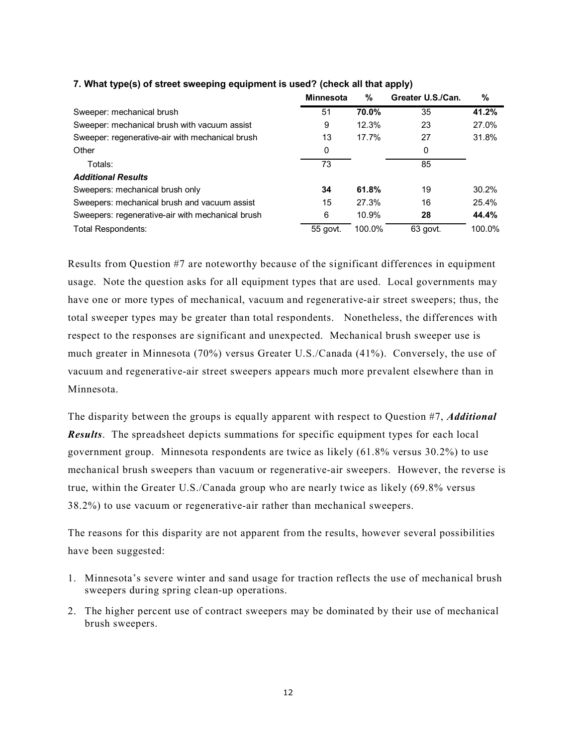|                                                  | <b>Minnesota</b> | %      | Greater U.S./Can. | %      |
|--------------------------------------------------|------------------|--------|-------------------|--------|
| Sweeper: mechanical brush                        | 51               | 70.0%  | 35                | 41.2%  |
| Sweeper: mechanical brush with vacuum assist     | 9                | 12.3%  | 23                | 27.0%  |
| Sweeper: regenerative-air with mechanical brush  | 13               | 17.7%  | 27                | 31.8%  |
| Other                                            | 0                |        | 0                 |        |
| Totals:                                          | 73               |        | 85                |        |
| <b>Additional Results</b>                        |                  |        |                   |        |
| Sweepers: mechanical brush only                  | 34               | 61.8%  | 19                | 30.2%  |
| Sweepers: mechanical brush and vacuum assist     | 15               | 27.3%  | 16                | 25.4%  |
| Sweepers: regenerative-air with mechanical brush | 6                | 10.9%  | 28                | 44.4%  |
| <b>Total Respondents:</b>                        | 55 govt.         | 100.0% | 63 govt.          | 100.0% |

### **7. What type(s) of street sweeping equipment is used? (check all that apply)**

Results from Question #7 are noteworthy because of the significant differences in equipment usage. Note the question asks for all equipment types that are used. Local governments may have one or more types of mechanical, vacuum and regenerative-air street sweepers; thus, the total sweeper types may be greater than total respondents. Nonetheless, the differences with respect to the responses are significant and unexpected. Mechanical brush sweeper use is much greater in Minnesota (70%) versus Greater U.S./Canada (41%). Conversely, the use of vacuum and regenerative-air street sweepers appears much more prevalent elsewhere than in Minnesota.

The disparity between the groups is equally apparent with respect to Question #7, *Additional Results*. The spreadsheet depicts summations for specific equipment types for each local government group. Minnesota respondents are twice as likely (61.8% versus 30.2%) to use mechanical brush sweepers than vacuum or regenerative-air sweepers. However, the reverse is true, within the Greater U.S./Canada group who are nearly twice as likely (69.8% versus 38.2%) to use vacuum or regenerative-air rather than mechanical sweepers.

The reasons for this disparity are not apparent from the results, however several possibilities have been suggested:

- 1. Minnesota's severe winter and sand usage for traction reflects the use of mechanical brush sweepers during spring clean-up operations.
- 2. The higher percent use of contract sweepers may be dominated by their use of mechanical brush sweepers.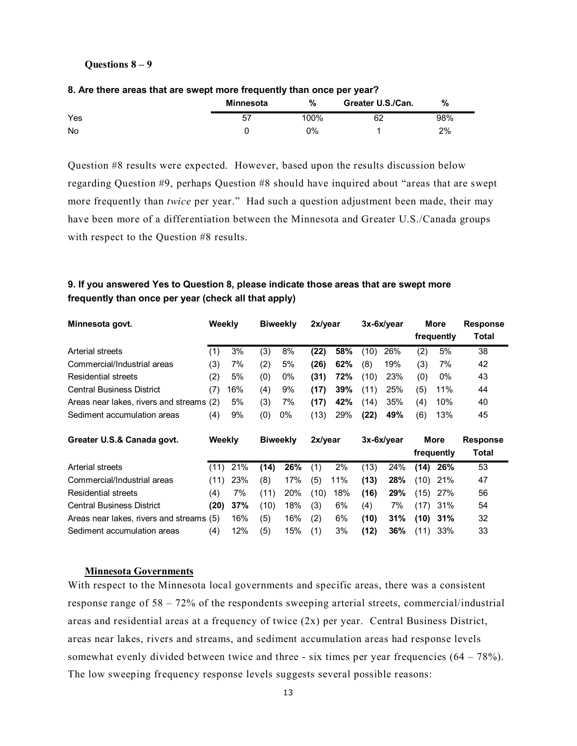#### **Questions 8 – 9**

|           | <b>Minnesota</b> | %    | Greater U.S./Can. | %   |
|-----------|------------------|------|-------------------|-----|
| Yes       |                  | 100% | 62                | 98% |
| <b>No</b> |                  | 0%   |                   | 2%  |

### **8. Are there areas that are swept more frequently than once per year?**

Question #8 results were expected. However, based upon the results discussion below regarding Question #9, perhaps Question #8 should have inquired about "areas that are swept more frequently than *twice* per year." Had such a question adjustment been made, their may have been more of a differentiation between the Minnesota and Greater U.S./Canada groups with respect to the Question #8 results.

# **9. If you answered Yes to Question 8, please indicate those areas that are swept more frequently than once per year (check all that apply)**

| Minnesota govt.                          |        | Weekly |                 | <b>Biweekly</b> | 2x/year |     | 3x-6x/year |     | <b>More</b> |            | <b>Response</b> |  |
|------------------------------------------|--------|--------|-----------------|-----------------|---------|-----|------------|-----|-------------|------------|-----------------|--|
|                                          |        |        |                 |                 |         |     |            |     |             | frequently | Total           |  |
| <b>Arterial streets</b>                  | (1)    | 3%     | (3)             | 8%              | (22)    | 58% | (10)       | 26% | (2)         | 5%         | 38              |  |
| Commercial/Industrial areas              | (3)    | 7%     | (2)             | 5%              | (26)    | 62% | (8)        | 19% | (3)         | 7%         | 42              |  |
| <b>Residential streets</b>               | (2)    | 5%     | (0)             | 0%              | (31)    | 72% | (10)       | 23% | (0)         | 0%         | 43              |  |
| <b>Central Business District</b>         | (7)    | 16%    | (4)             | 9%              | (17)    | 39% | (11)       | 25% | (5)         | 11%        | 44              |  |
| Areas near lakes, rivers and streams (2) |        | 5%     | (3)             | 7%              | (17)    | 42% | (14)       | 35% | (4)         | 10%        | 40              |  |
| Sediment accumulation areas              | (4)    | 9%     | (0)             | $0\%$           | (13)    | 29% | (22)       | 49% | (6)         | 13%        | 45              |  |
|                                          | Weekly |        | <b>Biweekly</b> |                 | 2x/year |     | 3x-6x/year |     | More        |            |                 |  |
| Greater U.S.& Canada govt.               |        |        |                 |                 |         |     |            |     |             |            | <b>Response</b> |  |
|                                          |        |        |                 |                 |         |     |            |     |             | frequently | Total           |  |
| Arterial streets                         | (11)   | 21%    | (14)            | 26%             | (1)     | 2%  | (13)       | 24% | (14)        | 26%        | 53              |  |
| Commercial/Industrial areas              | (11)   | 23%    | (8)             | 17%             | (5)     | 11% | (13)       | 28% | (10)        | 21%        | 47              |  |
| <b>Residential streets</b>               | (4)    | 7%     | (11)            | 20%             | (10)    | 18% | (16)       | 29% | (15)        | 27%        | 56              |  |
| <b>Central Business District</b>         | (20)   | 37%    | (10)            | 18%             | (3)     | 6%  | (4)        | 7%  | (17)        | 31%        | 54              |  |
| Areas near lakes, rivers and streams (5) |        | 16%    | (5)             | 16%             | (2)     | 6%  | (10)       | 31% | (10)        | 31%        | 32              |  |

#### **Minnesota Governments**

With respect to the Minnesota local governments and specific areas, there was a consistent response range of 58 – 72% of the respondents sweeping arterial streets, commercial/industrial areas and residential areas at a frequency of twice (2x) per year. Central Business District, areas near lakes, rivers and streams, and sediment accumulation areas had response levels somewhat evenly divided between twice and three - six times per year frequencies  $(64 - 78\%)$ . The low sweeping frequency response levels suggests several possible reasons: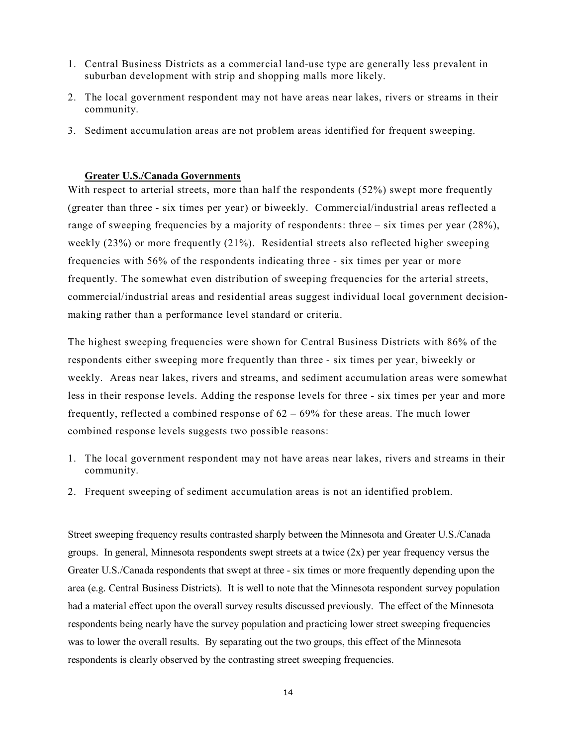- 1. Central Business Districts as a commercial land-use type are generally less prevalent in suburban development with strip and shopping malls more likely.
- 2. The local government respondent may not have areas near lakes, rivers or streams in their community.
- 3. Sediment accumulation areas are not problem areas identified for frequent sweeping.

### **Greater U.S./Canada Governments**

With respect to arterial streets, more than half the respondents (52%) swept more frequently (greater than three - six times per year) or biweekly. Commercial/industrial areas reflected a range of sweeping frequencies by a majority of respondents: three  $-$  six times per year (28%), weekly (23%) or more frequently (21%). Residential streets also reflected higher sweeping frequencies with 56% of the respondents indicating three - six times per year or more frequently. The somewhat even distribution of sweeping frequencies for the arterial streets, commercial/industrial areas and residential areas suggest individual local government decisionmaking rather than a performance level standard or criteria.

The highest sweeping frequencies were shown for Central Business Districts with 86% of the respondents either sweeping more frequently than three - six times per year, biweekly or weekly. Areas near lakes, rivers and streams, and sediment accumulation areas were somewhat less in their response levels. Adding the response levels for three - six times per year and more frequently, reflected a combined response of 62 – 69% for these areas. The much lower combined response levels suggests two possible reasons:

- 1. The local government respondent may not have areas near lakes, rivers and streams in their community.
- 2. Frequent sweeping of sediment accumulation areas is not an identified problem.

Street sweeping frequency results contrasted sharply between the Minnesota and Greater U.S./Canada groups. In general, Minnesota respondents swept streets at a twice  $(2x)$  per year frequency versus the Greater U.S./Canada respondents that swept at three - six times or more frequently depending upon the area (e.g. Central Business Districts). It is well to note that the Minnesota respondent survey population had a material effect upon the overall survey results discussed previously. The effect of the Minnesota respondents being nearly have the survey population and practicing lower street sweeping frequencies was to lower the overall results. By separating out the two groups, this effect of the Minnesota respondents is clearly observed by the contrasting street sweeping frequencies.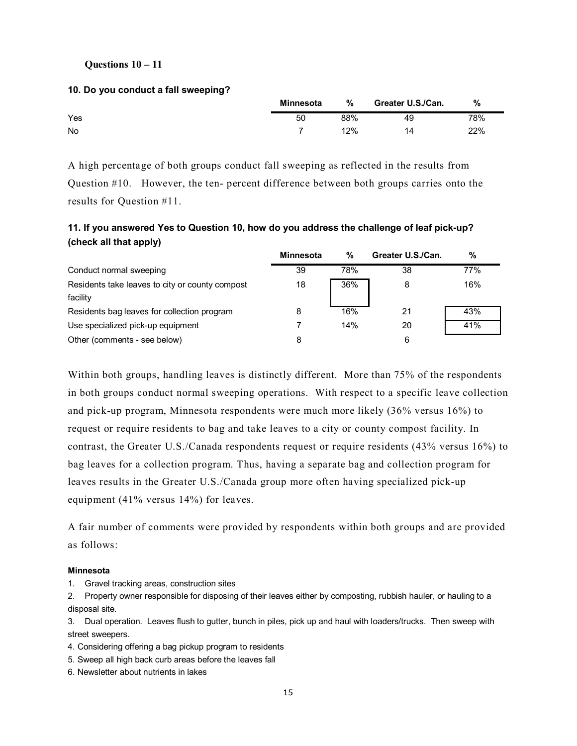### **Questions 10 – 11**

#### **10. Do you conduct a fall sweeping?**

|           | <b>Minnesota</b> | %   | Greater U.S./Can. | %   |
|-----------|------------------|-----|-------------------|-----|
| Yes       | 50               | 88% | 49                | 78% |
| <b>No</b> |                  | 12% | 14                | 22% |

A high percentage of both groups conduct fall sweeping as reflected in the results from Question #10. However, the ten- percent difference between both groups carries onto the results for Question #11.

# **11. If you answered Yes to Question 10, how do you address the challenge of leaf pick-up? (check all that apply)**

|                                                             | Minnesota | %   | Greater U.S./Can. | %   |
|-------------------------------------------------------------|-----------|-----|-------------------|-----|
| Conduct normal sweeping                                     | 39        | 78% | 38                | 77% |
| Residents take leaves to city or county compost<br>facility | 18        | 36% | 8                 | 16% |
| Residents bag leaves for collection program                 | 8         | 16% | 21                | 43% |
| Use specialized pick-up equipment                           |           | 14% | 20                | 41% |
| Other (comments - see below)                                | 8         |     | 6                 |     |

Within both groups, handling leaves is distinctly different. More than 75% of the respondents in both groups conduct normal sweeping operations. With respect to a specific leave collection and pick-up program, Minnesota respondents were much more likely (36% versus 16%) to request or require residents to bag and take leaves to a city or county compost facility. In contrast, the Greater U.S./Canada respondents request or require residents (43% versus 16%) to bag leaves for a collection program. Thus, having a separate bag and collection program for leaves results in the Greater U.S./Canada group more often having specialized pick-up equipment (41% versus 14%) for leaves.

A fair number of comments were provided by respondents within both groups and are provided as follows:

#### **Minnesota**

1. Gravel tracking areas, construction sites

2. Property owner responsible for disposing of their leaves either by composting, rubbish hauler, or hauling to a disposal site.

3. Dual operation. Leaves flush to gutter, bunch in piles, pick up and haul with loaders/trucks. Then sweep with street sweepers.

- 4. Considering offering a bag pickup program to residents
- 5. Sweep all high back curb areas before the leaves fall
- 6. Newsletter about nutrients in lakes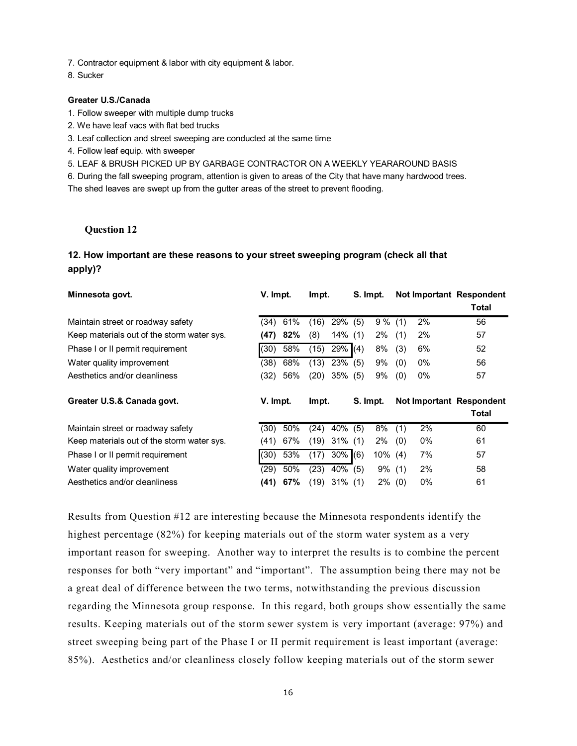7. Contractor equipment & labor with city equipment & labor.

8. Sucker

#### **Greater U.S./Canada**

- 1. Follow sweeper with multiple dump trucks
- 2. We have leaf vacs with flat bed trucks
- 3. Leaf collection and street sweeping are conducted at the same time
- 4. Follow leaf equip. with sweeper
- 5. LEAF & BRUSH PICKED UP BY GARBAGE CONTRACTOR ON A WEEKLY YEARAROUND BASIS

6. During the fall sweeping program, attention is given to areas of the City that have many hardwood trees.

The shed leaves are swept up from the gutter areas of the street to prevent flooding.

### **Question 12**

# **12. How important are these reasons to your street sweeping program (check all that apply)?**

| Minnesota govt.                            | V. Impt. |     | lmpt. |            | S. Impt. |            | <b>Not Important Respondent</b> |       |                          |  |
|--------------------------------------------|----------|-----|-------|------------|----------|------------|---------------------------------|-------|--------------------------|--|
|                                            |          |     |       |            |          |            |                                 |       | Total                    |  |
| Maintain street or roadway safety          | (34)     | 61% | (16)  | 29%        | (5)      | $9\%$ (1)  |                                 | 2%    | 56                       |  |
| Keep materials out of the storm water sys. | (47)     | 82% | (8)   | 14%        | (1)      | 2%         | (1)                             | 2%    | 57                       |  |
| Phase I or II permit requirement           | (30)     | 58% | (15)  | $29\%$ (4) |          | 8%         | (3)                             | 6%    | 52                       |  |
| Water quality improvement                  | (38)     | 68% | (13)  | 23%        | (5)      | 9%         | (0)                             | $0\%$ | 56                       |  |
| Aesthetics and/or cleanliness              | (32)     | 56% | (20)  | $35\%$ (5) |          | 9%         | (0)                             | 0%    | 57                       |  |
|                                            |          |     |       |            |          |            |                                 |       |                          |  |
| Greater U.S.& Canada govt.                 | V. Impt. |     | Impt. |            |          | S. Impt.   |                                 |       | Not Important Respondent |  |
|                                            |          |     |       |            |          |            |                                 |       | <b>Total</b>             |  |
| Maintain street or roadway safety          | (30)     | 50% | (24)  | 40%        | (5)      | 8%         | (1)                             | 2%    | 60                       |  |
| Keep materials out of the storm water sys. | (41)     | 67% | (19)  | 31%        | (1)      | 2%         | (0)                             | 0%    | 61                       |  |
| Phase I or II permit requirement           | (30)     | 53% | (17)  | $30\%$ (6) |          | $10\%$ (4) |                                 | 7%    | 57                       |  |
| Water quality improvement                  | (29)     | 50% | (23)  | 40%        | (5)      | $9\%$ (1)  |                                 | 2%    | 58                       |  |

Results from Question #12 are interesting because the Minnesota respondents identify the highest percentage (82%) for keeping materials out of the storm water system as a very important reason for sweeping. Another way to interpret the results is to combine the percent responses for both "very important" and "important". The assumption being there may not be a great deal of difference between the two terms, notwithstanding the previous discussion regarding the Minnesota group response. In this regard, both groups show essentially the same results. Keeping materials out of the storm sewer system is very important (average: 97%) and street sweeping being part of the Phase I or II permit requirement is least important (average: 85%). Aesthetics and/or cleanliness closely follow keeping materials out of the storm sewer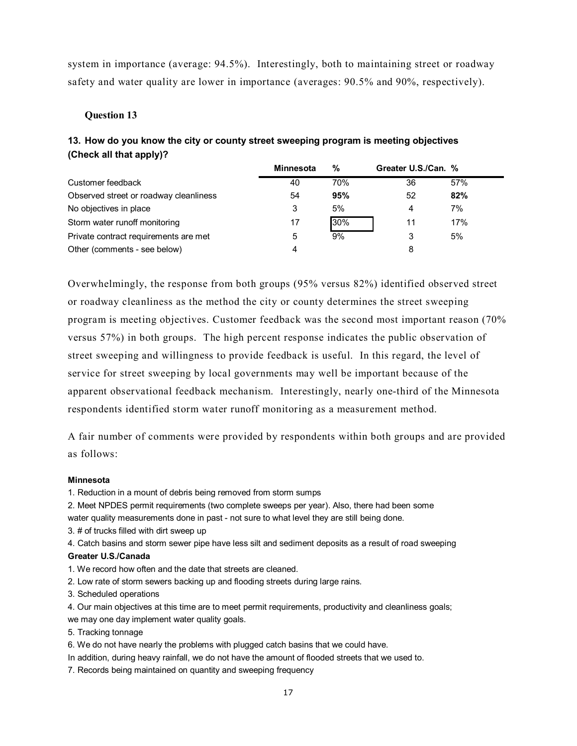system in importance (average: 94.5%). Interestingly, both to maintaining street or roadway safety and water quality are lower in importance (averages: 90.5% and 90%, respectively).

### **Question 13**

|                                        | <b>Minnesota</b> | %   | Greater U.S./Can. % |     |  |
|----------------------------------------|------------------|-----|---------------------|-----|--|
| Customer feedback                      | 40               | 70% | 36                  | 57% |  |
| Observed street or roadway cleanliness | 54               | 95% | 52                  | 82% |  |
| No objectives in place                 | 3                | 5%  | 4                   | 7%  |  |
| Storm water runoff monitoring          | 17               | 30% | 11                  | 17% |  |
| Private contract requirements are met  | 5                | 9%  | 3                   | 5%  |  |
| Other (comments - see below)           | 4                |     | 8                   |     |  |

# **13. How do you know the city or county street sweeping program is meeting objectives (Check all that apply)?**

Overwhelmingly, the response from both groups (95% versus 82%) identified observed street or roadway cleanliness as the method the city or county determines the street sweeping program is meeting objectives. Customer feedback was the second most important reason (70% versus 57%) in both groups. The high percent response indicates the public observation of street sweeping and willingness to provide feedback is useful. In this regard, the level of service for street sweeping by local governments may well be important because of the apparent observational feedback mechanism. Interestingly, nearly one-third of the Minnesota respondents identified storm water runoff monitoring as a measurement method.

A fair number of comments were provided by respondents within both groups and are provided as follows:

#### **Minnesota**

1. Reduction in a mount of debris being removed from storm sumps

2. Meet NPDES permit requirements (two complete sweeps per year). Also, there had been some water quality measurements done in past - not sure to what level they are still being done.

3. # of trucks filled with dirt sweep up

4. Catch basins and storm sewer pipe have less silt and sediment deposits as a result of road sweeping

#### **Greater U.S./Canada**

1. We record how often and the date that streets are cleaned.

2. Low rate of storm sewers backing up and flooding streets during large rains.

3. Scheduled operations

4. Our main objectives at this time are to meet permit requirements, productivity and cleanliness goals;

we may one day implement water quality goals.

5. Tracking tonnage

6. We do not have nearly the problems with plugged catch basins that we could have.

In addition, during heavy rainfall, we do not have the amount of flooded streets that we used to.

7. Records being maintained on quantity and sweeping frequency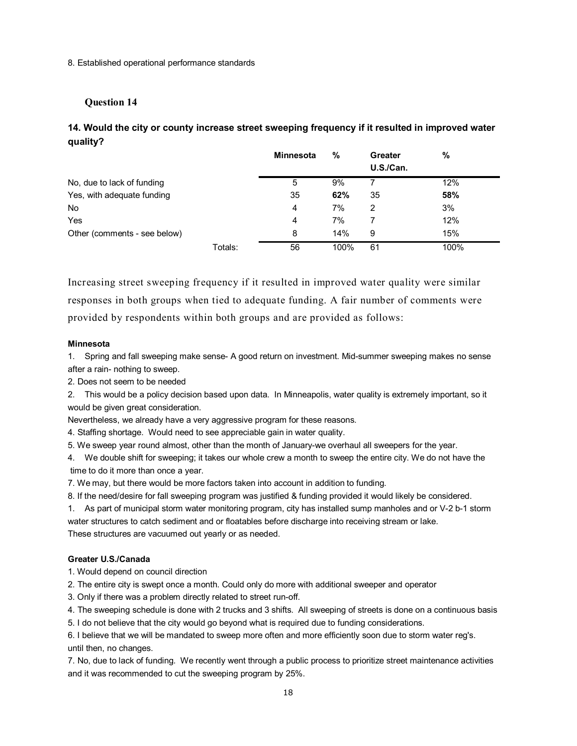#### 8. Established operational performance standards

### **Question 14**

# **14. Would the city or county increase street sweeping frequency if it resulted in improved water quality?**

|                              |         | <b>Minnesota</b> | %    | <b>Greater</b><br>U.S./Can. | %    |
|------------------------------|---------|------------------|------|-----------------------------|------|
| No, due to lack of funding   |         | 5                | 9%   | 7                           | 12%  |
| Yes, with adequate funding   |         | 35               | 62%  | 35                          | 58%  |
| <b>No</b>                    |         | 4                | 7%   | 2                           | 3%   |
| Yes                          |         | 4                | 7%   |                             | 12%  |
| Other (comments - see below) |         | 8                | 14%  | 9                           | 15%  |
|                              | Totals: | 56               | 100% | 61                          | 100% |

Increasing street sweeping frequency if it resulted in improved water quality were similar responses in both groups when tied to adequate funding. A fair number of comments were provided by respondents within both groups and are provided as follows:

#### **Minnesota**

1. Spring and fall sweeping make sense- A good return on investment. Mid-summer sweeping makes no sense after a rain- nothing to sweep.

2. Does not seem to be needed

2. This would be a policy decision based upon data. In Minneapolis, water quality is extremely important, so it would be given great consideration.

Nevertheless, we already have a very aggressive program for these reasons.

4. Staffing shortage. Would need to see appreciable gain in water quality.

5. We sweep year round almost, other than the month of January-we overhaul all sweepers for the year.

4. We double shift for sweeping; it takes our whole crew a month to sweep the entire city. We do not have the time to do it more than once a year.

7. We may, but there would be more factors taken into account in addition to funding.

8. If the need/desire for fall sweeping program was justified & funding provided it would likely be considered.

1. As part of municipal storm water monitoring program, city has installed sump manholes and or V-2 b-1 storm water structures to catch sediment and or floatables before discharge into receiving stream or lake. These structures are vacuumed out yearly or as needed.

#### **Greater U.S./Canada**

1. Would depend on council direction

2. The entire city is swept once a month. Could only do more with additional sweeper and operator

3. Only if there was a problem directly related to street run-off.

4. The sweeping schedule is done with 2 trucks and 3 shifts. All sweeping of streets is done on a continuous basis

5. I do not believe that the city would go beyond what is required due to funding considerations.

6. I believe that we will be mandated to sweep more often and more efficiently soon due to storm water reg's. until then, no changes.

7. No, due to lack of funding. We recently went through a public process to prioritize street maintenance activities and it was recommended to cut the sweeping program by 25%.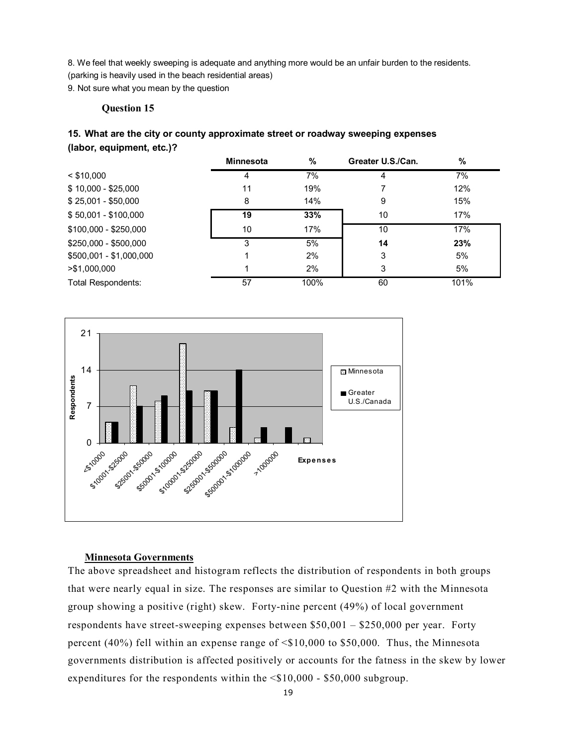8. We feel that weekly sweeping is adequate and anything more would be an unfair burden to the residents.

(parking is heavily used in the beach residential areas)

9. Not sure what you mean by the question

#### **Question 15**

### **15. What are the city or county approximate street or roadway sweeping expenses (labor, equipment, etc.)?**

|                           | <b>Minnesota</b> | $\frac{9}{6}$ | Greater U.S./Can. | %    |
|---------------------------|------------------|---------------|-------------------|------|
| $<$ \$10,000              | 4                | 7%            | 4                 | 7%   |
| $$10,000 - $25,000$       | 11               | 19%           |                   | 12%  |
| $$25,001 - $50,000$       | 8                | 14%           | 9                 | 15%  |
| $$50,001 - $100,000$      | 19               | 33%           | 10                | 17%  |
| \$100,000 - \$250,000     | 10               | 17%           | 10                | 17%  |
| \$250,000 - \$500,000     | 3                | 5%            | 14                | 23%  |
| \$500,001 - \$1,000,000   |                  | 2%            | 3                 | 5%   |
| > \$1,000,000             |                  | 2%            | 3                 | 5%   |
| <b>Total Respondents:</b> | 57               | 100%          | 60                | 101% |



#### **Minnesota Governments**

The above spreadsheet and histogram reflects the distribution of respondents in both groups that were nearly equal in size. The responses are similar to Question #2 with the Minnesota group showing a positive (right) skew. Forty-nine percent (49%) of local government respondents have street-sweeping expenses between \$50,001 – \$250,000 per year. Forty percent (40%) fell within an expense range of <\$10,000 to \$50,000. Thus, the Minnesota governments distribution is affected positively or accounts for the fatness in the skew by lower expenditures for the respondents within the <\$10,000 - \$50,000 subgroup.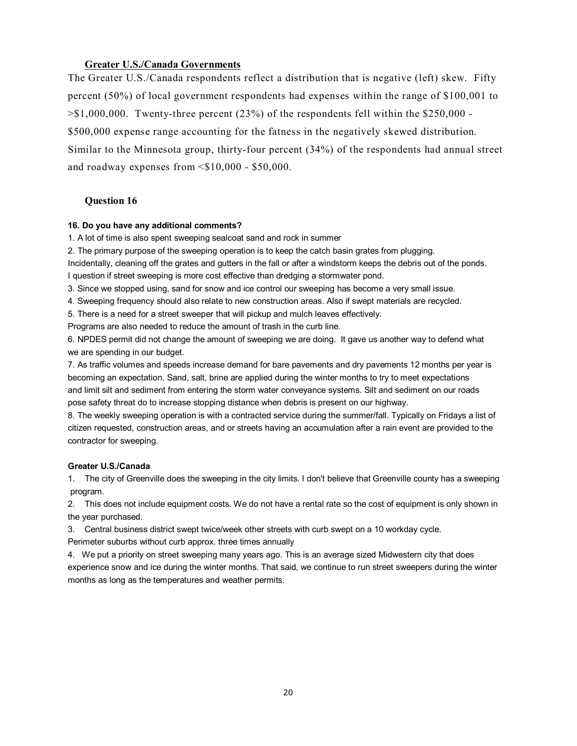#### **Greater U.S./Canada Governments**

The Greater U.S./Canada respondents reflect a distribution that is negative (left) skew. Fifty percent (50%) of local government respondents had expenses within the range of \$100,001 to  $>$ \$1,000,000. Twenty-three percent (23%) of the respondents fell within the \$250,000 -\$500,000 expense range accounting for the fatness in the negatively skewed distribution. Similar to the Minnesota group, thirty-four percent (34%) of the respondents had annual street and roadway expenses from <\$10,000 - \$50,000.

#### **Question 16**

#### **16. Do you have any additional comments?**

1. A lot of time is also spent sweeping sealcoat sand and rock in summer

2. The primary purpose of the sweeping operation is to keep the catch basin grates from plugging.

Incidentally, cleaning off the grates and gutters in the fall or after a windstorm keeps the debris out of the ponds. I question if street sweeping is more cost effective than dredging a stormwater pond.

3. Since we stopped using, sand for snow and ice control our sweeping has become a very small issue.

4. Sweeping frequency should also relate to new construction areas. Also if swept materials are recycled.

5. There is a need for a street sweeper that will pickup and mulch leaves effectively.

Programs are also needed to reduce the amount of trash in the curb line.

6. NPDES permit did not change the amount of sweeping we are doing. It gave us another way to defend what we are spending in our budget.

7. As traffic volumes and speeds increase demand for bare pavements and dry pavements 12 months per year is becoming an expectation. Sand, salt, brine are applied during the winter months to try to meet expectations and limit silt and sediment from entering the storm water conveyance systems. Silt and sediment on our roads pose safety threat do to increase stopping distance when debris is present on our highway.

8. The weekly sweeping operation is with a contracted service during the summer/fall. Typically on Fridays a list of citizen requested, construction areas, and or streets having an accumulation after a rain event are provided to the contractor for sweeping.

#### **Greater U.S./Canada**

1. The city of Greenville does the sweeping in the city limits. I don't believe that Greenville county has a sweeping program.

2. This does not include equipment costs. We do not have a rental rate so the cost of equipment is only shown in the year purchased.

3. Central business district swept twice/week other streets with curb swept on a 10 workday cycle.

Perimeter suburbs without curb approx. three times annually

4. We put a priority on street sweeping many years ago. This is an average sized Midwestern city that does experience snow and ice during the winter months. That said, we continue to run street sweepers during the winter months as long as the temperatures and weather permits.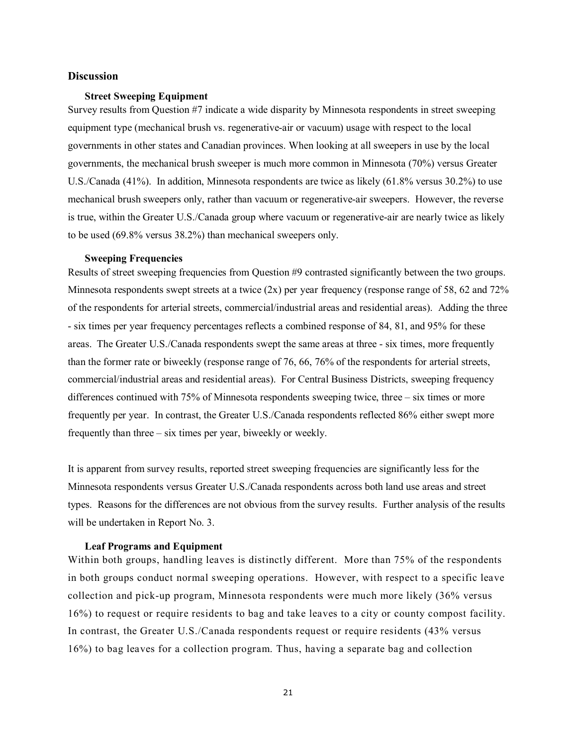#### **Discussion**

#### **Street Sweeping Equipment**

Survey results from Question #7 indicate a wide disparity by Minnesota respondents in street sweeping equipment type (mechanical brush vs. regenerative-air or vacuum) usage with respect to the local governments in other states and Canadian provinces. When looking at all sweepers in use by the local governments, the mechanical brush sweeper is much more common in Minnesota (70%) versus Greater U.S./Canada (41%). In addition, Minnesota respondents are twice as likely (61.8% versus 30.2%) to use mechanical brush sweepers only, rather than vacuum or regenerative-air sweepers. However, the reverse is true, within the Greater U.S./Canada group where vacuum or regenerative-air are nearly twice as likely to be used (69.8% versus 38.2%) than mechanical sweepers only.

#### **Sweeping Frequencies**

Results of street sweeping frequencies from Question #9 contrasted significantly between the two groups. Minnesota respondents swept streets at a twice (2x) per year frequency (response range of 58, 62 and 72% of the respondents for arterial streets, commercial/industrial areas and residential areas). Adding the three - six times per year frequency percentages reflects a combined response of 84, 81, and 95% for these areas. The Greater U.S./Canada respondents swept the same areas at three - six times, more frequently than the former rate or biweekly (response range of 76, 66, 76% of the respondents for arterial streets, commercial/industrial areas and residential areas). For Central Business Districts, sweeping frequency differences continued with 75% of Minnesota respondents sweeping twice, three – six times or more frequently per year. In contrast, the Greater U.S./Canada respondents reflected 86% either swept more frequently than three – six times per year, biweekly or weekly.

It is apparent from survey results, reported street sweeping frequencies are significantly less for the Minnesota respondents versus Greater U.S./Canada respondents across both land use areas and street types. Reasons for the differences are not obvious from the survey results. Further analysis of the results will be undertaken in Report No. 3.

#### **Leaf Programs and Equipment**

Within both groups, handling leaves is distinctly different. More than 75% of the respondents in both groups conduct normal sweeping operations. However, with respect to a specific leave collection and pick-up program, Minnesota respondents were much more likely (36% versus 16%) to request or require residents to bag and take leaves to a city or county compost facility. In contrast, the Greater U.S./Canada respondents request or require residents (43% versus 16%) to bag leaves for a collection program. Thus, having a separate bag and collection

21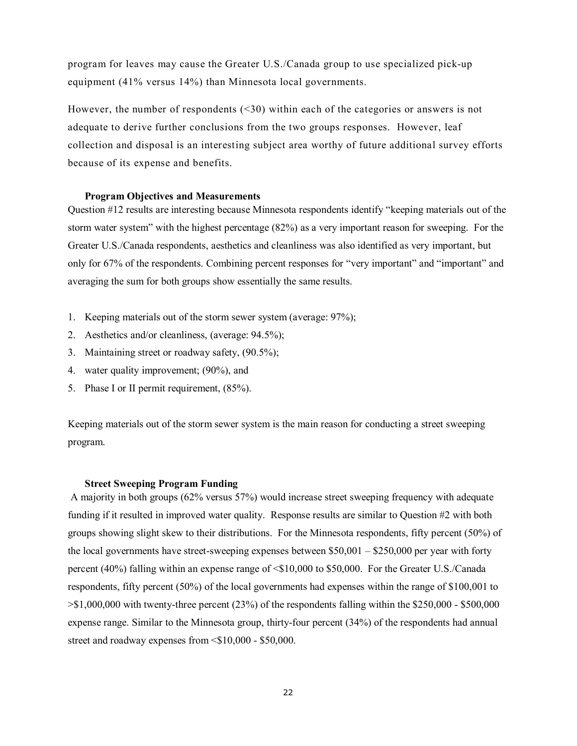program for leaves may cause the Greater U.S./Canada group to use specialized pick-up equipment (41% versus 14%) than Minnesota local governments.

However, the number of respondents (<30) within each of the categories or answers is not adequate to derive further conclusions from the two groups responses. However, leaf collection and disposal is an interesting subject area worthy of future additional survey efforts because of its expense and benefits.

#### **Program Objectives and Measurements**

Question #12 results are interesting because Minnesota respondents identify "keeping materials out of the storm water system" with the highest percentage (82%) as a very important reason for sweeping. For the Greater U.S./Canada respondents, aesthetics and cleanliness was also identified as very important, but only for 67% of the respondents. Combining percent responses for "very important" and "important" and averaging the sum for both groups show essentially the same results.

- 1. Keeping materials out of the storm sewer system (average: 97%);
- 2. Aesthetics and/or cleanliness, (average: 94.5%);
- 3. Maintaining street or roadway safety, (90.5%);
- 4. water quality improvement; (90%), and
- 5. Phase I or II permit requirement, (85%).

Keeping materials out of the storm sewer system is the main reason for conducting a street sweeping program.

#### **Street Sweeping Program Funding**

 A majority in both groups (62% versus 57%) would increase street sweeping frequency with adequate funding if it resulted in improved water quality. Response results are similar to Question #2 with both groups showing slight skew to their distributions. For the Minnesota respondents, fifty percent (50%) of the local governments have street-sweeping expenses between \$50,001 – \$250,000 per year with forty percent (40%) falling within an expense range of <\$10,000 to \$50,000. For the Greater U.S./Canada respondents, fifty percent (50%) of the local governments had expenses within the range of \$100,001 to  $>$ \$1,000,000 with twenty-three percent (23%) of the respondents falling within the \$250,000 - \$500,000 expense range. Similar to the Minnesota group, thirty-four percent (34%) of the respondents had annual street and roadway expenses from <\$10,000 - \$50,000.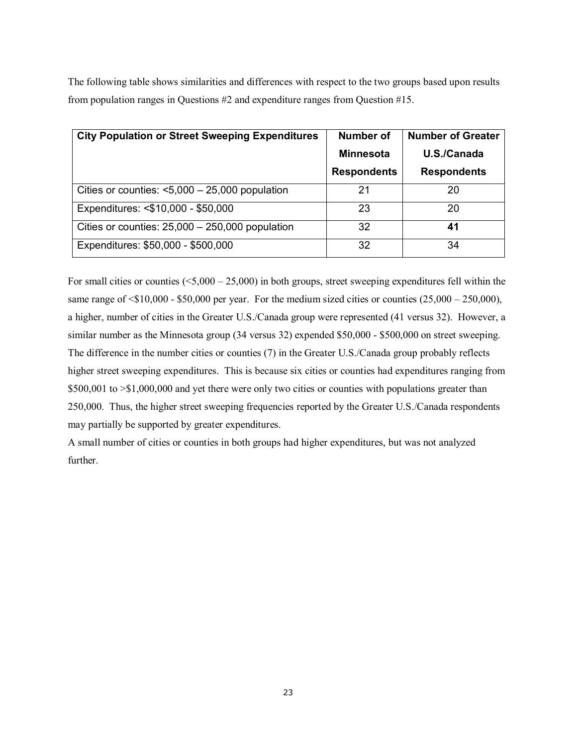The following table shows similarities and differences with respect to the two groups based upon results from population ranges in Questions #2 and expenditure ranges from Question #15.

| <b>City Population or Street Sweeping Expenditures</b> | <b>Number of</b><br><b>Minnesota</b><br><b>Respondents</b> | <b>Number of Greater</b><br>U.S./Canada<br><b>Respondents</b> |
|--------------------------------------------------------|------------------------------------------------------------|---------------------------------------------------------------|
| Cities or counties: $< 5,000 - 25,000$ population      | 21                                                         | 20                                                            |
| Expenditures: <\$10,000 - \$50,000                     | 23                                                         | 20                                                            |
| Cities or counties: $25,000 - 250,000$ population      | 32                                                         | 41                                                            |
| Expenditures: \$50,000 - \$500,000                     | 32                                                         | 34                                                            |

For small cities or counties ( $\leq 5,000 - 25,000$ ) in both groups, street sweeping expenditures fell within the same range of  $\leq$ \$10,000 - \$50,000 per year. For the medium sized cities or counties (25,000 – 250,000), a higher, number of cities in the Greater U.S./Canada group were represented (41 versus 32). However, a similar number as the Minnesota group (34 versus 32) expended \$50,000 - \$500,000 on street sweeping. The difference in the number cities or counties (7) in the Greater U.S./Canada group probably reflects higher street sweeping expenditures. This is because six cities or counties had expenditures ranging from \$500,001 to >\$1,000,000 and yet there were only two cities or counties with populations greater than 250,000. Thus, the higher street sweeping frequencies reported by the Greater U.S./Canada respondents may partially be supported by greater expenditures.

A small number of cities or counties in both groups had higher expenditures, but was not analyzed further.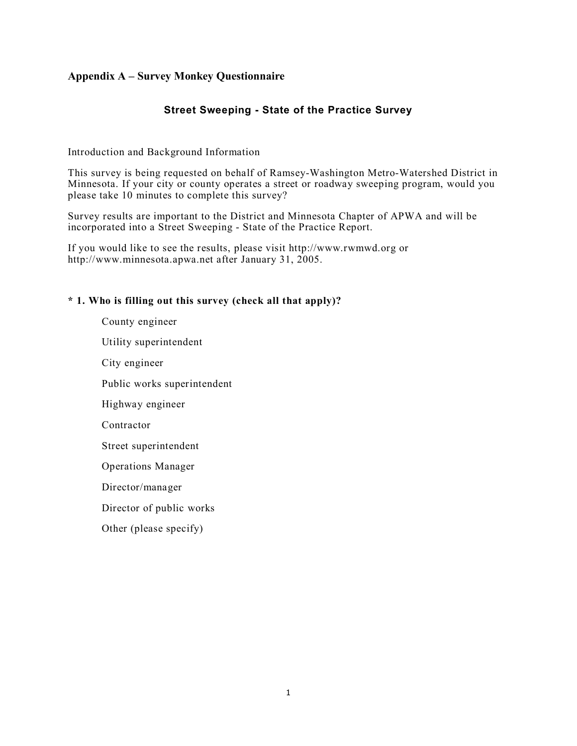### **Appendix A – Survey Monkey Questionnaire**

### **Street Sweeping - State of the Practice Survey**

Introduction and Background Information

This survey is being requested on behalf of Ramsey-Washington Metro-Watershed District in Minnesota. If your city or county operates a street or roadway sweeping program, would you please take 10 minutes to complete this survey?

Survey results are important to the District and Minnesota Chapter of APWA and will be incorporated into a Street Sweeping - State of the Practice Report.

If you would like to see the results, please visit http://www.rwmwd.org or http://www.minnesota.apwa.net after January 31, 2005.

### **\* 1. Who is filling out this survey (check all that apply)?**

County engineer Utility superintendent City engineer Public works superintendent Highway engineer Contractor Street superintendent Operations Manager Director/manager Director of public works Other (please specify)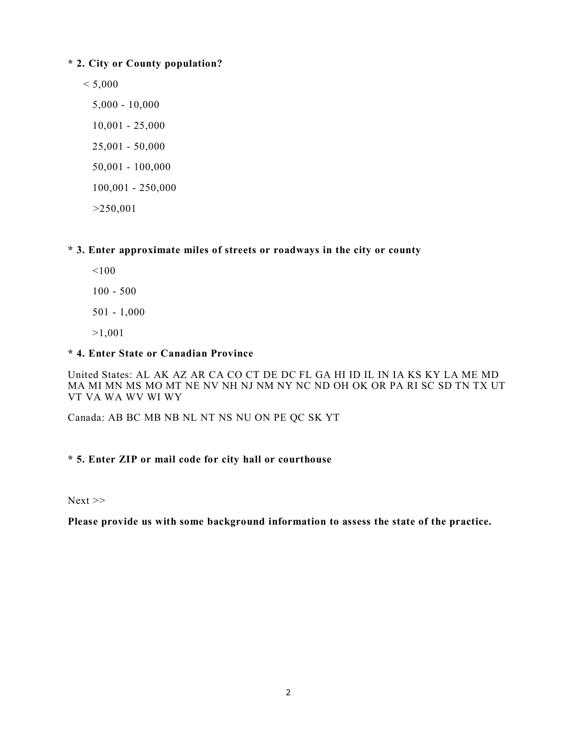### **\* 2. City or County population?**

 $< 5,000$  5,000 - 10,000 10,001 - 25,000 25,001 - 50,000 50,001 - 100,000 100,001 - 250,000 >250,001

### **\* 3. Enter approximate miles of streets or roadways in the city or county**

 $100$  100 - 500 501 - 1,000 >1,001

# **\* 4. Enter State or Canadian Province**

United States: AL AK AZ AR CA CO CT DE DC FL GA HI ID IL IN IA KS KY LA ME MD MA MI MN MS MO MT NE NV NH NJ NM NY NC ND OH OK OR PA RI SC SD TN TX UT VT VA WA WV WI WY

Canada: AB BC MB NB NL NT NS NU ON PE QC SK YT

### **\* 5. Enter ZIP or mail code for city hall or courthouse**

 $Next$ 

**Please provide us with some background information to assess the state of the practice.**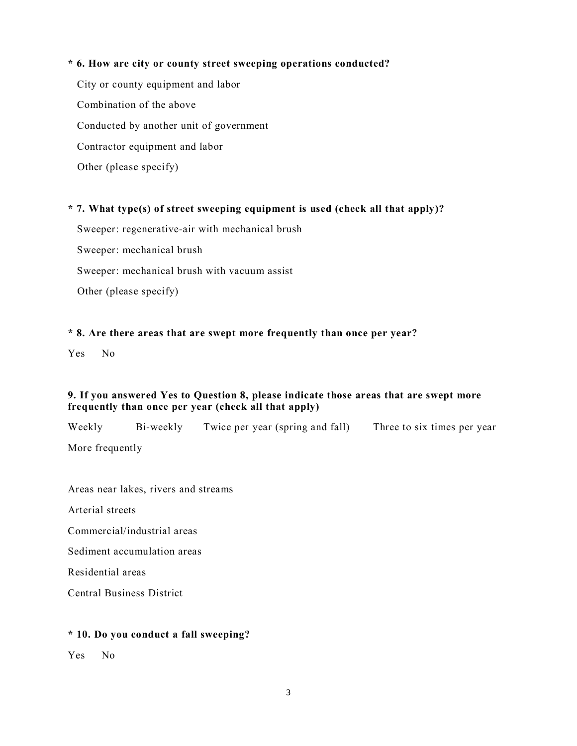## **\* 6. How are city or county street sweeping operations conducted?**

 City or county equipment and labor Combination of the above Conducted by another unit of government Contractor equipment and labor Other (please specify)

**\* 7. What type(s) of street sweeping equipment is used (check all that apply)?**

Sweeper: regenerative-air with mechanical brush

Sweeper: mechanical brush

Sweeper: mechanical brush with vacuum assist

Other (please specify)

### **\* 8. Are there areas that are swept more frequently than once per year?**

Yes No

### **9. If you answered Yes to Question 8, please indicate those areas that are swept more frequently than once per year (check all that apply)**

Weekly Bi-weekly Twice per year (spring and fall) Three to six times per year More frequently

Areas near lakes, rivers and streams

Arterial streets

Commercial/industrial areas

Sediment accumulation areas

Residential areas

Central Business District

### **\* 10. Do you conduct a fall sweeping?**

Yes No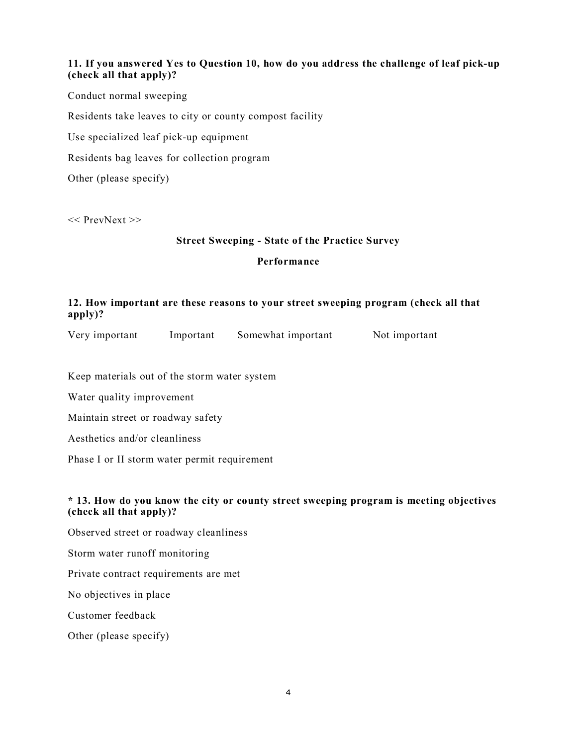### **11. If you answered Yes to Question 10, how do you address the challenge of leaf pick-up (check all that apply)?**

Conduct normal sweeping Residents take leaves to city or county compost facility Use specialized leaf pick-up equipment Residents bag leaves for collection program Other (please specify)

<< PrevNext >>

#### **Street Sweeping - State of the Practice Survey**

### **Performance**

### **12. How important are these reasons to your street sweeping program (check all that apply)?**

| Very important | Important | Somewhat important | Not important |
|----------------|-----------|--------------------|---------------|
|                |           |                    |               |

Keep materials out of the storm water system

Water quality improvement

Maintain street or roadway safety

Aesthetics and/or cleanliness

Phase I or II storm water permit requirement

### **\* 13. How do you know the city or county street sweeping program is meeting objectives (check all that apply)?**

Observed street or roadway cleanliness Storm water runoff monitoring Private contract requirements are met No objectives in place Customer feedback Other (please specify)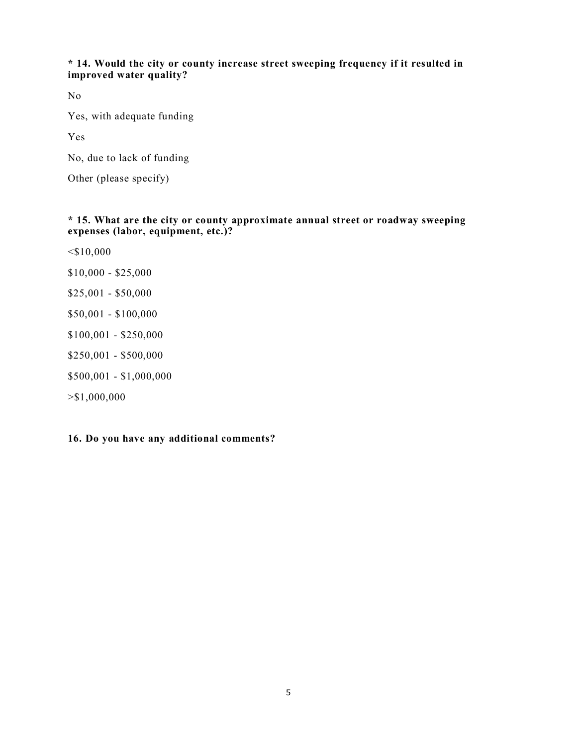### **\* 14. Would the city or county increase street sweeping frequency if it resulted in improved water quality?**

No

Yes, with adequate funding

Yes

No, due to lack of funding

Other (please specify)

### **\* 15. What are the city or county approximate annual street or roadway sweeping expenses (labor, equipment, etc.)?**

- $<$ \$10,000
- \$10,000 \$25,000
- \$25,001 \$50,000
- \$50,001 \$100,000
- \$100,001 \$250,000
- \$250,001 \$500,000
- \$500,001 \$1,000,000
- >\$1,000,000

## **16. Do you have any additional comments?**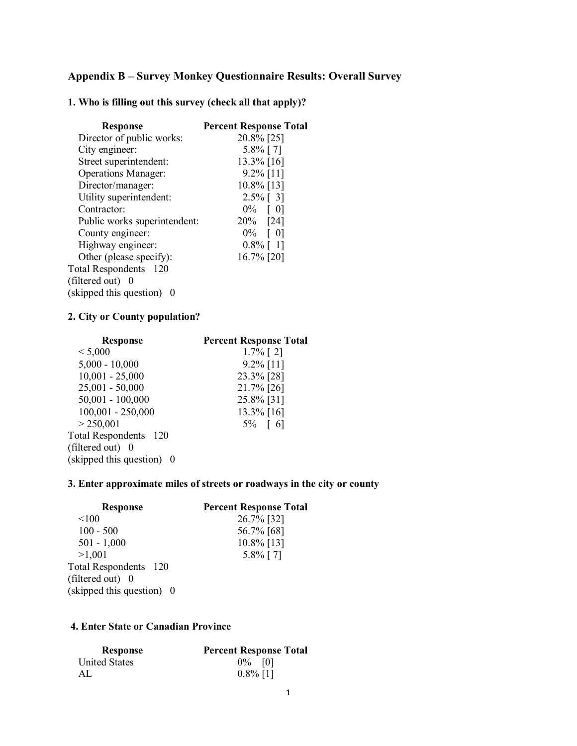# **Appendix B – Survey Monkey Questionnaire Results: Overall Survey**

**1. Who is filling out this survey (check all that apply)?** 

| <b>Response</b>              | <b>Percent Response Total</b> |
|------------------------------|-------------------------------|
| Director of public works:    | 20.8% [25]                    |
| City engineer:               | 5.8% [7]                      |
| Street superintendent:       | $13.3\%$ [16]                 |
| <b>Operations Manager:</b>   | $9.2\%$ [11]                  |
| Director/manager:            | $10.8\%$ [13]                 |
| Utility superintendent:      | $2.5\%$ [ 3]                  |
| Contractor:                  | $0\% \quad [0]$               |
| Public works superintendent: | 20% [24]                      |
| County engineer:             | $0\%$ [ 0]                    |
| Highway engineer:            | $0.8\%$ [ 1]                  |
| Other (please specify):      | 16.7% [20]                    |
| Total Respondents 120        |                               |
| (filtered out) 0             |                               |
| (skipped this question) 0    |                               |
|                              |                               |

# **2. City or County population?**

| <b>Response</b>           | <b>Percent Response Total</b> |
|---------------------------|-------------------------------|
| < 5,000                   | $1.7\%$ [ 2]                  |
| $5,000 - 10,000$          | $9.2\%$ [11]                  |
| $10,001 - 25,000$         | 23.3% [28]                    |
| $25,001 - 50,000$         | 21.7% [26]                    |
| $50,001 - 100,000$        | 25.8% [31]                    |
| $100,001 - 250,000$       | 13.3% [16]                    |
| > 250,001                 | $5\%$ [ 6]                    |
| Total Respondents 120     |                               |
| (filtered out) 0          |                               |
| (skipped this question) 0 |                               |
|                           |                               |

#### **3. Enter approximate miles of streets or roadways in the city or county**

| <b>Response</b>           | <b>Percent Response Total</b> |
|---------------------------|-------------------------------|
| < 100                     | 26.7% [32]                    |
| $100 - 500$               | 56.7% [68]                    |
| $501 - 1,000$             | $10.8\%$ [13]                 |
| >1,001                    | 5.8% [7]                      |
| Total Respondents 120     |                               |
| (filtered out) 0          |                               |
| (skipped this question) 0 |                               |

### **4. Enter State or Canadian Province**

| Response             | <b>Percent Response Total</b> |
|----------------------|-------------------------------|
| <b>United States</b> | $0\%$ [0]                     |
| AL.                  | $0.8\%$ [1]                   |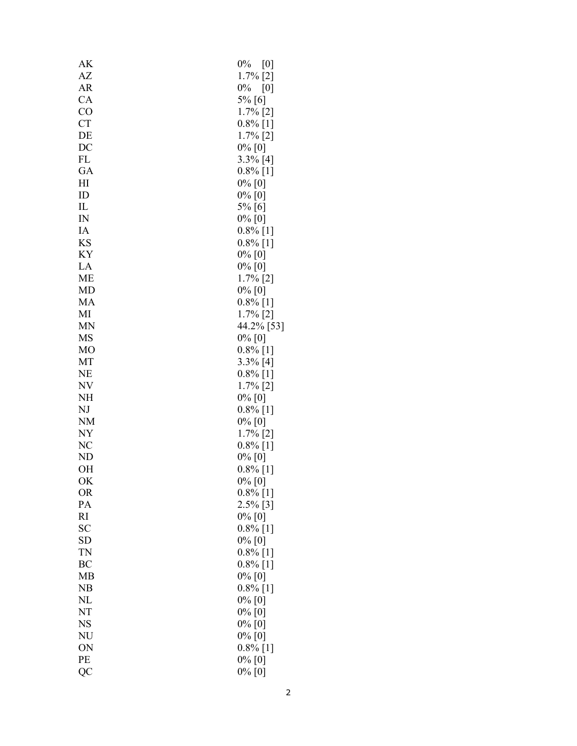| АK        | $0\%$<br>[0] |
|-----------|--------------|
| AZ        | $1.7\%$ [2]  |
| AR        | $0\%$<br>[0] |
| CA        | 5% [6]       |
| CO        | $1.7\%$ [2]  |
| <b>CT</b> | $0.8\%$ [1]  |
| DE        | $1.7\%$ [2]  |
| DC        | $0\%$ [0]    |
| FL        | $3.3\%$ [4]  |
| GA        | $0.8\%$ [1]  |
| H         | $0\%$ [0]    |
| ID        | $0\%$ [0]    |
| IL        | 5% [6]       |
| IN        | $0\%$ [0]    |
| IA        | $0.8\%$ [1]  |
| KS        | $0.8\%$ [1]  |
| ΚY        | $0\%$ [0]    |
| LA        | $0\%$ [0]    |
| МE        | $1.7\%$ [2]  |
| MD        | $0\%$ [0]    |
| MA        | $0.8\%$ [1]  |
| MI        | $1.7\%$ [2]  |
| MN        | 44.2% [53]   |
| MS        | $0\%$ [0]    |
| МO        | $0.8\%$ [1]  |
| МT        | $3.3\%$ [4]  |
| NE        | $0.8\%$ [1]  |
| NV        | $1.7\%$ [2]  |
| NΗ        | $0\%$ [0]    |
| NJ        | $0.8\%$ [1]  |
| NM        | $0\%$ [0]    |
| NY        | $1.7\%$ [2]  |
| NC        | $0.8\%$ [1]  |
| ND        | $0\%$ [0]    |
| OH        | $0.8\%$ [1]  |
| OK        | 0% [0]       |
| <b>OR</b> | $0.8\%$ [1]  |
| PA        | $2.5\%$ [3]  |
| <b>RI</b> | $0\%$ [0]    |
| SC        | $0.8\%$ [1]  |
| <b>SD</b> | $0\%$ [0]    |
| <b>TN</b> | $0.8\%$ [1]  |
| BC        | $0.8\%$ [1]  |
| MB        | $0\%$ [0]    |
| NB        | $0.8\%$ [1]  |
| $\rm NL$  | $0\%$ [0]    |
| NT        | $0\%$ [0]    |
| NS        | $0\%$ [0]    |
| NU        | $0\%$ [0]    |
| ON        | $0.8\%$ [1]  |
| PE        | $0\%$ [0]    |
| QC        | $0\%$ [0]    |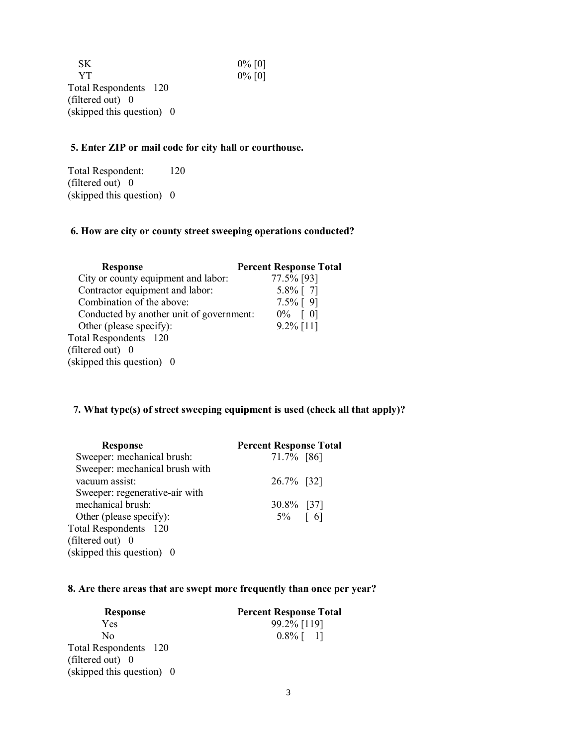$SK$  0% [0]  $YT$  0%  $[0]$ Total Respondents 120 (filtered out) 0 (skipped this question) 0

# **5. Enter ZIP or mail code for city hall or courthouse.**

Total Respondent: 120 (filtered out) 0 (skipped this question) 0

# **6. How are city or county street sweeping operations conducted?**

| <b>Response</b>                          | <b>Percent Response Total</b> |
|------------------------------------------|-------------------------------|
| City or county equipment and labor:      | 77.5% [93]                    |
| Contractor equipment and labor:          | $5.8\%$ [ 7]                  |
| Combination of the above:                | $7.5\%$ [ 9]                  |
| Conducted by another unit of government: | $0\% \quad [0]$               |
| Other (please specify):                  | $9.2\%$ [11]                  |
| Total Respondents 120                    |                               |
| (filtered out) 0                         |                               |
| (skipped this question) 0                |                               |
|                                          |                               |

### **7. What type(s) of street sweeping equipment is used (check all that apply)?**

| <b>Response</b>                | <b>Percent Response Total</b> |
|--------------------------------|-------------------------------|
| Sweeper: mechanical brush:     | 71.7% [86]                    |
| Sweeper: mechanical brush with |                               |
| vacuum assist:                 | 26.7% [32]                    |
| Sweeper: regenerative-air with |                               |
| mechanical brush:              | 30.8% [37]                    |
| Other (please specify):        | $5\%$ [ 6]                    |
| Total Respondents 120          |                               |
| (filtered out) 0               |                               |
| (skipped this question) 0      |                               |

# **8. Are there areas that are swept more frequently than once per year?**

| <b>Response</b>           | <b>Percent Response Total</b> |
|---------------------------|-------------------------------|
| Yes                       | 99.2% [119]                   |
| Nο                        | $0.8\%$ [ 1]                  |
| Total Respondents 120     |                               |
| (filtered out) 0          |                               |
| (skipped this question) 0 |                               |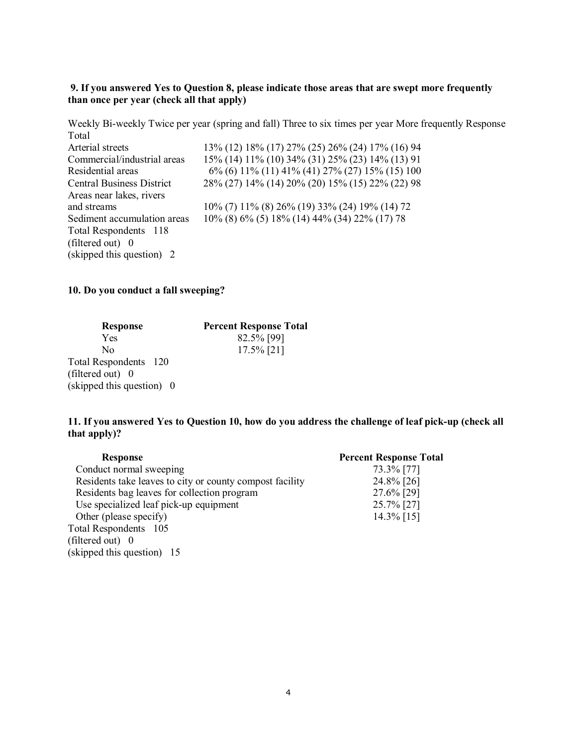### **9. If you answered Yes to Question 8, please indicate those areas that are swept more frequently than once per year (check all that apply)**

Weekly Bi-weekly Twice per year (spring and fall) Three to six times per year More frequently Response Total Arterial streets 13% (12) 18% (17) 27% (25) 26% (24) 17% (16) 94<br>Commercial/industrial areas 15% (14) 11% (10) 34% (31) 25% (23) 14% (13) 91 15% (14) 11% (10) 34% (31) 25% (23) 14% (13) 91 Residential areas 6% (6) 11% (11) 41% (41) 27% (27) 15% (15) 100 Central Business District 28% (27) 14% (14) 20% (20) 15% (15) 22% (22) 98 Areas near lakes, rivers and streams 10% (7) 11% (8) 26% (19) 33% (24) 19% (14) 72 Sediment accumulation areas 10% (8) 6% (5) 18% (14) 44% (34) 22% (17) 78 Total Respondents 118 (filtered out) 0 (skipped this question) 2

### **10. Do you conduct a fall sweeping?**

| <b>Response</b>           | <b>Percent Response Total</b> |
|---------------------------|-------------------------------|
| Yes                       | 82.5% [99]                    |
| Nο                        | 17.5% [21]                    |
| Total Respondents 120     |                               |
| (filtered out) $0$        |                               |
| (skipped this question) 0 |                               |

**11. If you answered Yes to Question 10, how do you address the challenge of leaf pick-up (check all that apply)?** 

| <b>Response</b>                                          | <b>Percent Response Total</b> |
|----------------------------------------------------------|-------------------------------|
| Conduct normal sweeping                                  | 73.3% [77]                    |
| Residents take leaves to city or county compost facility | 24.8% [26]                    |
| Residents bag leaves for collection program              | 27.6% [29]                    |
| Use specialized leaf pick-up equipment                   | 25.7% [27]                    |
| Other (please specify)                                   | 14.3% [15]                    |
| Total Respondents 105                                    |                               |
| (filtered out) 0                                         |                               |
| (skipped this question) 15                               |                               |
|                                                          |                               |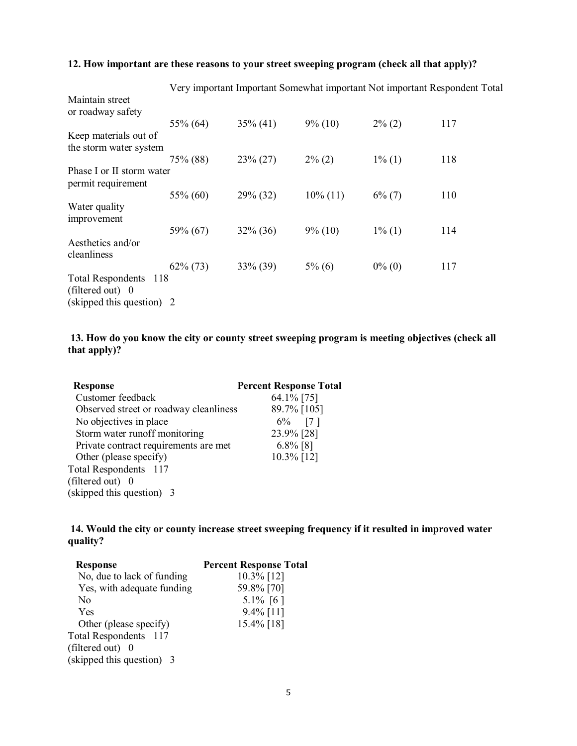# **12. How important are these reasons to your street sweeping program (check all that apply)?**

|                                                        |             |             |             | <u>V Cry Thipoliant Hilpoliant Somewhat hilpoliant FWt hilpoliant Kesponde</u> |     |
|--------------------------------------------------------|-------------|-------------|-------------|--------------------------------------------------------------------------------|-----|
| Maintain street<br>or roadway safety                   |             |             |             |                                                                                |     |
|                                                        | 55% (64)    | $35\%$ (41) | $9\%$ (10)  | $2\%$ (2)                                                                      | 117 |
| Keep materials out of                                  |             |             |             |                                                                                |     |
| the storm water system                                 |             |             |             |                                                                                |     |
|                                                        | 75% (88)    | $23\% (27)$ | $2\%$ (2)   | $1\%$ (1)                                                                      | 118 |
| Phase I or II storm water                              |             |             |             |                                                                                |     |
|                                                        |             |             |             |                                                                                |     |
| permit requirement                                     |             |             |             |                                                                                |     |
|                                                        | 55% (60)    | 29% (32)    | $10\%$ (11) | $6\%$ (7)                                                                      | 110 |
| Water quality                                          |             |             |             |                                                                                |     |
| improvement                                            |             |             |             |                                                                                |     |
|                                                        | 59% (67)    | $32\% (36)$ | $9\%$ (10)  | $1\%$ (1)                                                                      | 114 |
| Aesthetics and/or                                      |             |             |             |                                                                                |     |
| cleanliness                                            |             |             |             |                                                                                |     |
|                                                        | $62\% (73)$ | 33% (39)    | $5\%$ (6)   | $0\%$ (0)                                                                      | 117 |
| <b>Total Respondents</b><br>-118<br>(filtered out) $0$ |             |             |             |                                                                                |     |
| (skipped this question) 2                              |             |             |             |                                                                                |     |
|                                                        |             |             |             |                                                                                |     |

Very important Important Somewhat important Not important Respondent Total

### **13. How do you know the city or county street sweeping program is meeting objectives (check all that apply)?**

| <b>Response</b>                        | <b>Percent Response Total</b> |
|----------------------------------------|-------------------------------|
| Customer feedback                      | 64.1% [75]                    |
| Observed street or roadway cleanliness | 89.7% [105]                   |
| No objectives in place                 | $6\%$ [7]                     |
| Storm water runoff monitoring          | 23.9% [28]                    |
| Private contract requirements are met  | $6.8\%$ [8]                   |
| Other (please specify)                 | $10.3\%$ [12]                 |
| Total Respondents 117                  |                               |
| (filtered out) $0$                     |                               |
| (skipped this question) 3              |                               |

 **14. Would the city or county increase street sweeping frequency if it resulted in improved water quality?** 

| <b>Response</b>            | <b>Percent Response Total</b> |
|----------------------------|-------------------------------|
| No, due to lack of funding | $10.3\%$ [12]                 |
| Yes, with adequate funding | 59.8% [70]                    |
| N <sub>0</sub>             | 5.1% [6]                      |
| Yes                        | $9.4\%$ [11]                  |
| Other (please specify)     | 15.4% [18]                    |
| Total Respondents 117      |                               |
| (filtered out) 0           |                               |
| (skipped this question) 3  |                               |
|                            |                               |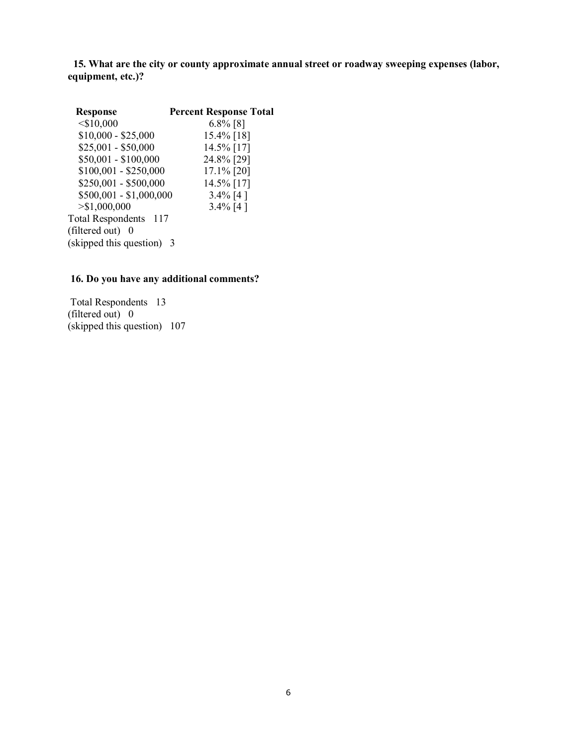**15. What are the city or county approximate annual street or roadway sweeping expenses (labor, equipment, etc.)?** 

| <b>Response</b>                   | <b>Percent Response Total</b> |
|-----------------------------------|-------------------------------|
| $<$ \$10,000                      | $6.8\%$ [8]                   |
| $$10,000 - $25,000$               | 15.4% [18]                    |
| $$25,001 - $50,000$               | 14.5% [17]                    |
| \$50,001 - \$100,000              | 24.8% [29]                    |
| $$100,001 - $250,000$             | 17.1% [20]                    |
| $$250,001 - $500,000$             | 14.5% [17]                    |
| $$500,001 - $1,000,000$           | 3.4% $[4]$                    |
| $>\$1,000,000$                    | $3.4\%$ [4]                   |
| <b>Total Respondents</b><br>- 117 |                               |
| (filtered out) 0                  |                               |
| (skipped this question) 3         |                               |
|                                   |                               |

# **16. Do you have any additional comments?**

 Total Respondents 13 (filtered out) 0 (skipped this question) 107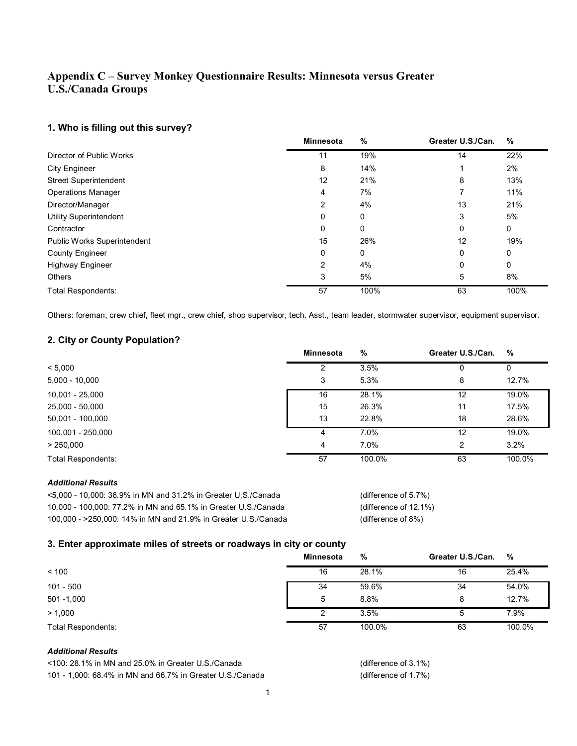# **Appendix C – Survey Monkey Questionnaire Results: Minnesota versus Greater U.S./Canada Groups**

### **1. Who is filling out this survey?**

|                               | <b>Minnesota</b> | %    | Greater U.S./Can. | %    |
|-------------------------------|------------------|------|-------------------|------|
| Director of Public Works      | 11               | 19%  | 14                | 22%  |
| <b>City Engineer</b>          | 8                | 14%  |                   | 2%   |
| <b>Street Superintendent</b>  | 12               | 21%  | 8                 | 13%  |
| <b>Operations Manager</b>     | 4                | 7%   |                   | 11%  |
| Director/Manager              | 2                | 4%   | 13                | 21%  |
| <b>Utility Superintendent</b> | 0                | 0    | 3                 | 5%   |
| Contractor                    | 0                | 0    | 0                 | 0    |
| Public Works Superintendent   | 15               | 26%  | 12                | 19%  |
| <b>County Engineer</b>        | 0                | 0    | 0                 | 0    |
| <b>Highway Engineer</b>       | 2                | 4%   | 0                 | 0    |
| <b>Others</b>                 | 3                | 5%   | 5                 | 8%   |
| <b>Total Respondents:</b>     | 57               | 100% | 63                | 100% |

Others: foreman, crew chief, fleet mgr., crew chief, shop supervisor, tech. Asst., team leader, stormwater supervisor, equipment supervisor.

#### **2. City or County Population?**

|                           | <b>Minnesota</b> | %      | Greater U.S./Can. | %      |
|---------------------------|------------------|--------|-------------------|--------|
| < 5,000                   | 2                | 3.5%   | 0                 | 0      |
| $5,000 - 10,000$          | 3                | 5.3%   | 8                 | 12.7%  |
| 10,001 - 25,000           | 16               | 28.1%  | 12                | 19.0%  |
| 25,000 - 50,000           | 15               | 26.3%  | 11                | 17.5%  |
| $50,001 - 100,000$        | 13               | 22.8%  | 18                | 28.6%  |
| 100,001 - 250,000         | 4                | 7.0%   | 12                | 19.0%  |
| > 250,000                 | 4                | 7.0%   | 2                 | 3.2%   |
| <b>Total Respondents:</b> | 57               | 100.0% | 63                | 100.0% |

#### *Additional Results*

<5,000 - 10,000: 36.9% in MN and 31.2% in Greater U.S./Canada (difference of 5.7%) 10,000 - 100,000: 77.2% in MN and 65.1% in Greater U.S./Canada (difference of 12.1%) 100,000 - >250,000: 14% in MN and 21.9% in Greater U.S./Canada (difference of 8%)

### **3. Enter approximate miles of streets or roadways in city or county**

|                           | <b>Minnesota</b> | %      | Greater U.S./Can. | %      |
|---------------------------|------------------|--------|-------------------|--------|
| < 100                     | 16               | 28.1%  | 16                | 25.4%  |
| 101 - 500                 | 34               | 59.6%  | 34                | 54.0%  |
| 501 - 1,000               | 5                | 8.8%   | 8                 | 12.7%  |
| > 1,000                   |                  | 3.5%   | 5                 | 7.9%   |
| <b>Total Respondents:</b> | 57               | 100.0% | 63                | 100.0% |

#### *Additional Results*

<100: 28.1% in MN and 25.0% in Greater U.S./Canada (difference of 3.1%) 101 - 1,000: 68.4% in MN and 66.7% in Greater U.S./Canada (difference of 1.7%)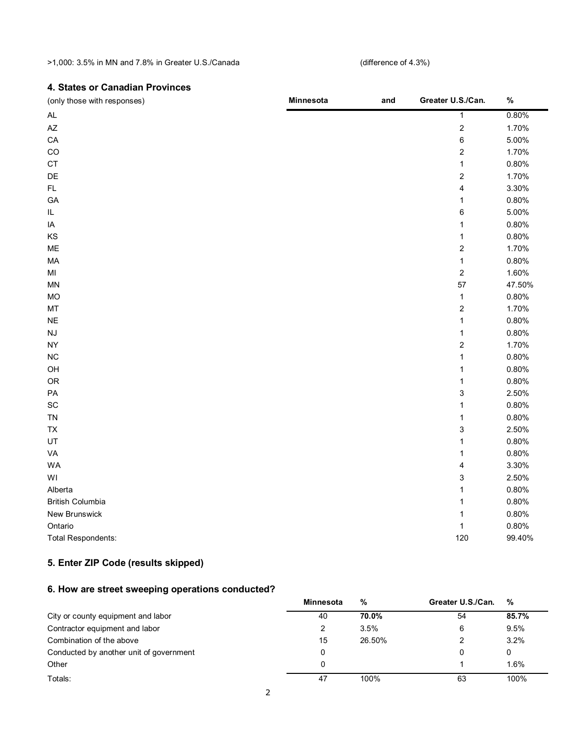>1,000: 3.5% in MN and 7.8% in Greater U.S./Canada (difference of 4.3%)

#### **4. States or Canadian Provinces**

| (only those with responses)  | Minnesota | and | Greater U.S./Can.       | $\%$   |
|------------------------------|-----------|-----|-------------------------|--------|
| AL                           |           |     | 1                       | 0.80%  |
| $\mathsf{AZ}$                |           |     | $\overline{\mathbf{c}}$ | 1.70%  |
| CA                           |           |     | 6                       | 5.00%  |
| $_{\rm CO}$                  |           |     | 2                       | 1.70%  |
| CT                           |           |     | $\mathbf 1$             | 0.80%  |
| DE                           |           |     | $\overline{\mathbf{c}}$ | 1.70%  |
| $\mathsf{FL}{}$              |           |     | 4                       | 3.30%  |
| GA                           |           |     | $\mathbf{1}$            | 0.80%  |
| $\sf IL$                     |           |     | 6                       | 5.00%  |
| IA                           |           |     | $\mathbf{1}$            | 0.80%  |
| KS                           |           |     | $\mathbf{1}$            | 0.80%  |
| ME                           |           |     | $\overline{\mathbf{c}}$ | 1.70%  |
| MA                           |           |     | $\mathbf 1$             | 0.80%  |
| MI                           |           |     | $\overline{\mathbf{c}}$ | 1.60%  |
| MN                           |           |     | 57                      | 47.50% |
| $MO$                         |           |     | $\mathbf{1}$            | 0.80%  |
| MT                           |           |     | $\overline{\mathbf{c}}$ | 1.70%  |
| $\sf NE$                     |           |     | $\mathbf{1}$            | 0.80%  |
| $\mathsf{N}\mathsf{J}$       |           |     | $\mathbf 1$             | 0.80%  |
| ${\sf NY}$                   |           |     | $\overline{\mathbf{c}}$ | 1.70%  |
| ${\sf NC}$                   |           |     | $\mathbf 1$             | 0.80%  |
| OH                           |           |     | $\mathbf 1$             | 0.80%  |
| ${\sf OR}$                   |           |     | 1                       | 0.80%  |
| ${\sf PA}$                   |           |     | 3                       | 2.50%  |
| $\operatorname{\textsf{SC}}$ |           |     | $\mathbf{1}$            | 0.80%  |
| <b>TN</b>                    |           |     | $\mathbf{1}$            | 0.80%  |
| TX                           |           |     | 3                       | 2.50%  |
| UT                           |           |     | $\mathbf{1}$            | 0.80%  |
| VA                           |           |     | $\mathbf{1}$            | 0.80%  |
| WA                           |           |     | 4                       | 3.30%  |
| WI                           |           |     | 3                       | 2.50%  |
| Alberta                      |           |     | $\mathbf 1$             | 0.80%  |
| <b>British Columbia</b>      |           |     | 1                       | 0.80%  |
| New Brunswick                |           |     | 1                       | 0.80%  |
| Ontario                      |           |     | 1                       | 0.80%  |
| <b>Total Respondents:</b>    |           |     | 120                     | 99.40% |

# **5. Enter ZIP Code (results skipped)**

# **6. How are street sweeping operations conducted?**

|                                         | <b>Minnesota</b> | %      | Greater U.S./Can. | %     |
|-----------------------------------------|------------------|--------|-------------------|-------|
| City or county equipment and labor      | 40               | 70.0%  | 54                | 85.7% |
| Contractor equipment and labor          |                  | 3.5%   | 6                 | 9.5%  |
| Combination of the above                | 15               | 26.50% |                   | 3.2%  |
| Conducted by another unit of government |                  |        | 0                 | 0     |
| Other                                   | 0                |        |                   | 1.6%  |
| Totals:                                 | 47               | 100%   | 63                | 100%  |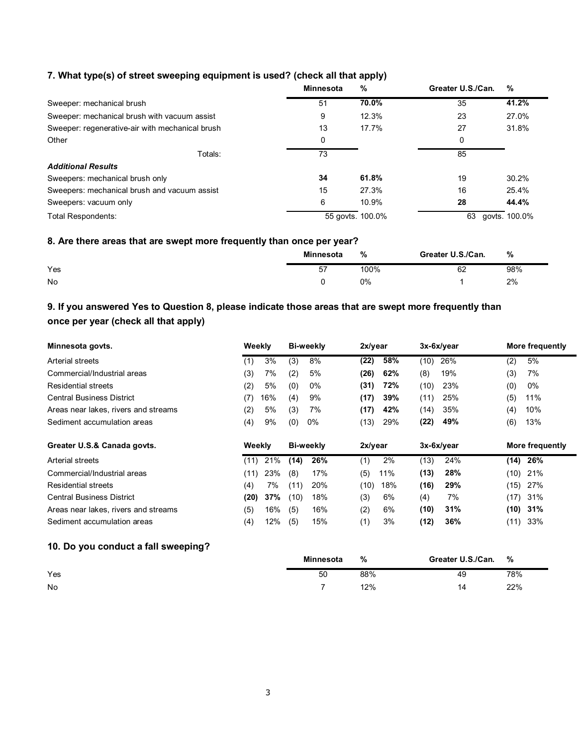# **7. What type(s) of street sweeping equipment is used? (check all that apply)**

|                                                 | <b>Minnesota</b> | %                | Greater U.S./Can. | %             |
|-------------------------------------------------|------------------|------------------|-------------------|---------------|
| Sweeper: mechanical brush                       | 51               | 70.0%            | 35                | 41.2%         |
| Sweeper: mechanical brush with vacuum assist    | 9                | 12.3%            | 23                | 27.0%         |
| Sweeper: regenerative-air with mechanical brush | 13               | 17.7%            | 27                | 31.8%         |
| Other                                           | 0                |                  | 0                 |               |
| Totals:                                         | 73               |                  | 85                |               |
| <b>Additional Results</b>                       |                  |                  |                   |               |
| Sweepers: mechanical brush only                 | 34               | 61.8%            | 19                | 30.2%         |
| Sweepers: mechanical brush and vacuum assist    | 15               | 27.3%            | 16                | 25.4%         |
| Sweepers: vacuum only                           | 6                | 10.9%            | 28                | 44.4%         |
| Total Respondents:                              |                  | 55 aoyts, 100.0% | 63                | aovts. 100.0% |

#### **8. Are there areas that are swept more frequently than once per year?**

|           | <b>Minnesota</b> | %    | Greater U.S./Can. | %   |
|-----------|------------------|------|-------------------|-----|
| Yes       | 57               | 100% | 62                | 98% |
| <b>No</b> |                  | 0%   |                   | 2%  |

# **9. If you answered Yes to Question 8, please indicate those areas that are swept more frequently than once per year (check all that apply)**

| Minnesota govts.                     | Weekly | <b>Bi-weekly</b> | 2x/year | $3x-6x/year$ | <b>More frequently</b> |
|--------------------------------------|--------|------------------|---------|--------------|------------------------|
| Arterial streets                     | 3%     | 8%               | 58%     | 26%          | 5%                     |
|                                      | (1)    | (3)              | (22)    | (10)         | (2)                    |
| Commercial/Industrial areas          | 7%     | 5%               | (26)    | 19%          | (3)                    |
|                                      | (3)    | (2)              | 62%     | (8)          | 7%                     |
| Residential streets                  | 5%     | 0%               | (31)    | (10)         | (0)                    |
|                                      | (2)    | (0)              | 72%     | 23%          | 0%                     |
| <b>Central Business District</b>     | 16%    | 9%               | (17)    | 25%          | (5)                    |
|                                      | (7)    | (4)              | 39%     | (11)         | 11%                    |
| Areas near lakes, rivers and streams | 5%     | (3)              | (17)    | (14)         | 10%                    |
|                                      | (2)    | 7%               | 42%     | 35%          | (4)                    |
| Sediment accumulation areas          | 9%     | $0\%$            | (13)    | (22)         | 13%                    |
|                                      | (4)    | (0)              | 29%     | 49%          | (6)                    |
| Greater U.S.& Canada govts.          | Weekly | <b>Bi-weekly</b> | 2x/year | 3x-6x/year   | More frequently        |
| Arterial streets                     | 21%    | 26%              | 2%      | (13)         | 26%                    |
|                                      | (11)   | (14)             | (1)     | 24%          | (14)                   |
| Commercial/Industrial areas          | 23%    | 17%              | (5)     | (13)         | (10)                   |
|                                      | (11)   | (8)              | 11%     | 28%          | 21%                    |
| Residential streets                  | (4)    | 20%              | (10)    | 29%          | 27%                    |
|                                      | 7%     | (11)             | 18%     | (16)         | (15)                   |
| <b>Central Business District</b>     | 37%    | 18%              | 6%      | 7%           | 31%                    |
|                                      | (20)   | (10)             | (3)     | (4)          | (17)                   |
| Areas near lakes, rivers and streams | 16%    | 16%              | 6%      | (10)         | (10)                   |
|                                      | (5)    | (5)              | (2)     | 31%          | 31%                    |
| Sediment accumulation areas          | 12%    | 15%              | 3%      | (12)         | 33%                    |
|                                      | (4)    | (5)              | (1)     | 36%          | (11)                   |

# **10. Do you conduct a fall sweeping?**

|     | <b>Minnesota</b> | %   | Greater U.S./Can. | %   |
|-----|------------------|-----|-------------------|-----|
| Yes | 50               | 88% | 49                | 78% |
| No  |                  | 2%ا |                   | 22% |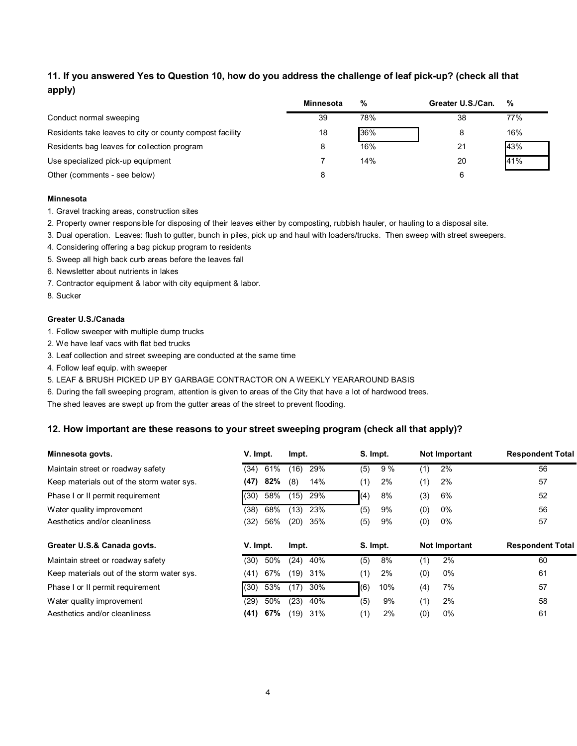# **11. If you answered Yes to Question 10, how do you address the challenge of leaf pick-up? (check all that apply)**

|                                                          | <b>Minnesota</b> | %   | Greater U.S./Can. | %   |
|----------------------------------------------------------|------------------|-----|-------------------|-----|
| Conduct normal sweeping                                  | 39               | 78% | 38                | 77% |
| Residents take leaves to city or county compost facility | 18               | 36% | 8                 | 16% |
| Residents bag leaves for collection program              |                  | 16% | 21                | 43% |
| Use specialized pick-up equipment                        |                  | 14% | 20                | 41% |
| Other (comments - see below)                             |                  |     | 6                 |     |

#### **Minnesota**

1. Gravel tracking areas, construction sites

- 2. Property owner responsible for disposing of their leaves either by composting, rubbish hauler, or hauling to a disposal site.
- 3. Dual operation. Leaves: flush to gutter, bunch in piles, pick up and haul with loaders/trucks. Then sweep with street sweepers.
- 4. Considering offering a bag pickup program to residents
- 5. Sweep all high back curb areas before the leaves fall
- 6. Newsletter about nutrients in lakes
- 7. Contractor equipment & labor with city equipment & labor.
- 8. Sucker

#### **Greater U.S./Canada**

- 1. Follow sweeper with multiple dump trucks
- 2. We have leaf vacs with flat bed trucks
- 3. Leaf collection and street sweeping are conducted at the same time
- 4. Follow leaf equip. with sweeper
- 5. LEAF & BRUSH PICKED UP BY GARBAGE CONTRACTOR ON A WEEKLY YEARAROUND BASIS
- 6. During the fall sweeping program, attention is given to areas of the City that have a lot of hardwood trees.

The shed leaves are swept up from the gutter areas of the street to prevent flooding.

#### **12. How important are these reasons to your street sweeping program (check all that apply)?**

| Minnesota govts.                           | V. Impt.    | Impt.       | S. Impt.   | Not Important | <b>Respondent Total</b> |
|--------------------------------------------|-------------|-------------|------------|---------------|-------------------------|
| Maintain street or roadway safety          | 61%<br>(34) | 29%<br>(16) | 9%<br>(5)  | 2%<br>(1)     | 56                      |
| Keep materials out of the storm water sys. | 82%<br>(47) | (8)<br>14%  | 2%<br>(1)  | (1)<br>$2\%$  | 57                      |
| Phase I or II permit requirement           | 58%<br>(30) | 29%<br>(15) | 8%<br>(4)  | (3)<br>6%     | 52                      |
| Water quality improvement                  | 68%<br>(38) | 23%<br>(13) | 9%<br>(5)  | (0)<br>$0\%$  | 56                      |
| Aesthetics and/or cleanliness              | 56%<br>(32) | (20)<br>35% | 9%<br>(5)  | (0)<br>0%     | 57                      |
| Greater U.S.& Canada govts.                | V. Impt.    | Impt.       | S. Impt.   | Not Important | <b>Respondent Total</b> |
| Maintain street or roadway safety          | 50%<br>(30) | 40%<br>(24) | 8%<br>(5)  | 2%<br>(1)     | 60                      |
| Keep materials out of the storm water sys. | 67%<br>(41) | (19)<br>31% | 2%<br>(1)  | (0)<br>$0\%$  | 61                      |
| Phase I or II permit requirement           | 53%<br>(30) | 30%<br>(17) | 10%<br>(6) | 7%<br>(4)     | 57                      |
| Water quality improvement                  | (29)<br>50% | (23)<br>40% | 9%<br>(5)  | (1)<br>2%     | 58                      |
| Aesthetics and/or cleanliness              | 67%<br>(41) | (19)<br>31% | 2%<br>(1)  | 0%<br>(0)     | 61                      |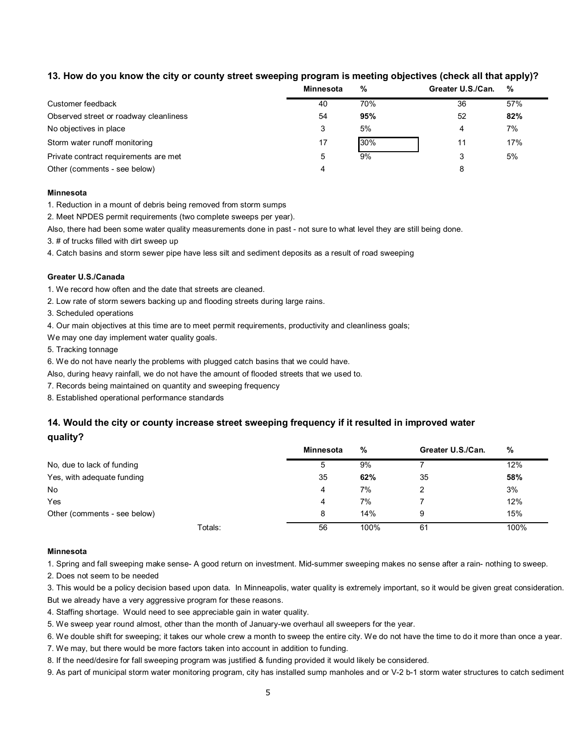### **13. How do you know the city or county street sweeping program is meeting objectives (check all that apply)?**

|                                        | <b>Minnesota</b> | %   | Greater U.S./Can. | %   |
|----------------------------------------|------------------|-----|-------------------|-----|
| Customer feedback                      | 40               | 70% | 36                | 57% |
| Observed street or roadway cleanliness | 54               | 95% | 52                | 82% |
| No objectives in place                 |                  | 5%  | 4                 | 7%  |
| Storm water runoff monitoring          | 17               | 30% | 11                | 17% |
| Private contract requirements are met  | 5                | 9%  |                   | 5%  |
| Other (comments - see below)           |                  |     | 8                 |     |

#### **Minnesota**

1. Reduction in a mount of debris being removed from storm sumps

2. Meet NPDES permit requirements (two complete sweeps per year).

Also, there had been some water quality measurements done in past - not sure to what level they are still being done.

3. # of trucks filled with dirt sweep up

4. Catch basins and storm sewer pipe have less silt and sediment deposits as a result of road sweeping

#### **Greater U.S./Canada**

1. We record how often and the date that streets are cleaned.

2. Low rate of storm sewers backing up and flooding streets during large rains.

3. Scheduled operations

4. Our main objectives at this time are to meet permit requirements, productivity and cleanliness goals;

We may one day implement water quality goals.

5. Tracking tonnage

6. We do not have nearly the problems with plugged catch basins that we could have.

Also, during heavy rainfall, we do not have the amount of flooded streets that we used to.

7. Records being maintained on quantity and sweeping frequency

8. Established operational performance standards

### **14. Would the city or county increase street sweeping frequency if it resulted in improved water quality?**

|                              |         | <b>Minnesota</b> | %    | Greater U.S./Can. | %    |
|------------------------------|---------|------------------|------|-------------------|------|
| No, due to lack of funding   |         |                  | 9%   |                   | 12%  |
| Yes, with adequate funding   |         | 35               | 62%  | 35                | 58%  |
| No                           |         |                  | 7%   |                   | 3%   |
| Yes                          |         |                  | 7%   |                   | 12%  |
| Other (comments - see below) |         | 8                | 14%  | 9                 | 15%  |
|                              | Totals: | 56               | 100% | 61                | 100% |

#### **Minnesota**

1. Spring and fall sweeping make sense- A good return on investment. Mid-summer sweeping makes no sense after a rain- nothing to sweep.

2. Does not seem to be needed

3. This would be a policy decision based upon data. In Minneapolis, water quality is extremely important, so it would be given great consideration. But we already have a very aggressive program for these reasons.

4. Staffing shortage. Would need to see appreciable gain in water quality.

5. We sweep year round almost, other than the month of January-we overhaul all sweepers for the year.

6. We double shift for sweeping; it takes our whole crew a month to sweep the entire city. We do not have the time to do it more than once a year.

7. We may, but there would be more factors taken into account in addition to funding.

8. If the need/desire for fall sweeping program was justified & funding provided it would likely be considered.

9. As part of municipal storm water monitoring program, city has installed sump manholes and or V-2 b-1 storm water structures to catch sediment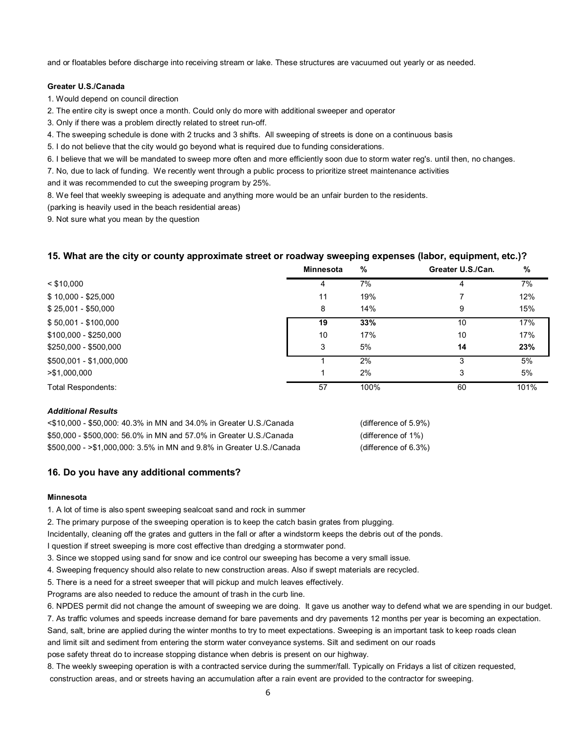and or floatables before discharge into receiving stream or lake. These structures are vacuumed out yearly or as needed.

#### **Greater U.S./Canada**

1. Would depend on council direction

- 2. The entire city is swept once a month. Could only do more with additional sweeper and operator
- 3. Only if there was a problem directly related to street run-off.
- 4. The sweeping schedule is done with 2 trucks and 3 shifts. All sweeping of streets is done on a continuous basis
- 5. I do not believe that the city would go beyond what is required due to funding considerations.
- 6. I believe that we will be mandated to sweep more often and more efficiently soon due to storm water reg's. until then, no changes.

7. No, due to lack of funding. We recently went through a public process to prioritize street maintenance activities

and it was recommended to cut the sweeping program by 25%.

8. We feel that weekly sweeping is adequate and anything more would be an unfair burden to the residents.

(parking is heavily used in the beach residential areas)

9. Not sure what you mean by the question

#### **15. What are the city or county approximate street or roadway sweeping expenses (labor, equipment, etc.)?**

|                           | <b>Minnesota</b> | %    | Greater U.S./Can. | %    |
|---------------------------|------------------|------|-------------------|------|
| $<$ \$10,000              | 4                | 7%   | 4                 | 7%   |
| $$10,000 - $25,000$       | 11               | 19%  |                   | 12%  |
| $$25,001 - $50,000$       | 8                | 14%  | 9                 | 15%  |
| \$50,001 - \$100,000      | 19               | 33%  | 10                | 17%  |
| \$100,000 - \$250,000     | 10               | 17%  | 10                | 17%  |
| \$250,000 - \$500,000     | 3                | 5%   | 14                | 23%  |
| \$500,001 - \$1,000,000   |                  | 2%   | 3                 | 5%   |
| > \$1,000,000             |                  | 2%   | 3                 | 5%   |
| <b>Total Respondents:</b> | 57               | 100% | 60                | 101% |

#### *Additional Results*

<\$10,000 - \$50,000: 40.3% in MN and 34.0% in Greater U.S./Canada (difference of 5.9%) \$50,000 - \$500,000: 56.0% in MN and 57.0% in Greater U.S./Canada (difference of 1%) \$500,000 - >\$1,000,000: 3.5% in MN and 9.8% in Greater U.S./Canada (difference of 6.3%)

#### **16. Do you have any additional comments?**

#### **Minnesota**

1. A lot of time is also spent sweeping sealcoat sand and rock in summer

2. The primary purpose of the sweeping operation is to keep the catch basin grates from plugging.

Incidentally, cleaning off the grates and gutters in the fall or after a windstorm keeps the debris out of the ponds.

I question if street sweeping is more cost effective than dredging a stormwater pond.

3. Since we stopped using sand for snow and ice control our sweeping has become a very small issue.

4. Sweeping frequency should also relate to new construction areas. Also if swept materials are recycled.

5. There is a need for a street sweeper that will pickup and mulch leaves effectively.

Programs are also needed to reduce the amount of trash in the curb line.

6. NPDES permit did not change the amount of sweeping we are doing. It gave us another way to defend what we are spending in our budget.

7. As traffic volumes and speeds increase demand for bare pavements and dry pavements 12 months per year is becoming an expectation.

Sand, salt, brine are applied during the winter months to try to meet expectations. Sweeping is an important task to keep roads clean

and limit silt and sediment from entering the storm water conveyance systems. Silt and sediment on our roads

pose safety threat do to increase stopping distance when debris is present on our highway.

8. The weekly sweeping operation is with a contracted service during the summer/fall. Typically on Fridays a list of citizen requested, construction areas, and or streets having an accumulation after a rain event are provided to the contractor for sweeping.